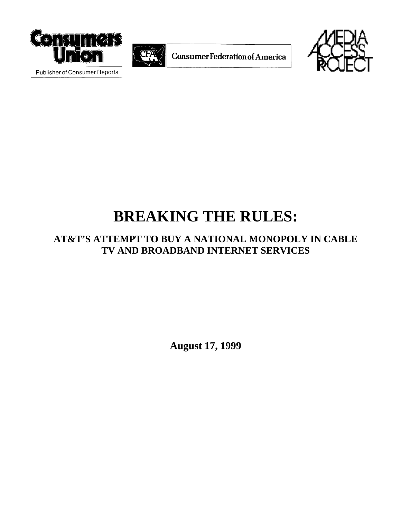



**ConsumerFederation of America** 



Publisher of Consumer Reports

# **BREAKING THE RULES:**

# **AT&T'S ATTEMPT TO BUY A NATIONAL MONOPOLY IN CABLE TV AND BROADBAND INTERNET SERVICES**

**August 17, 1999**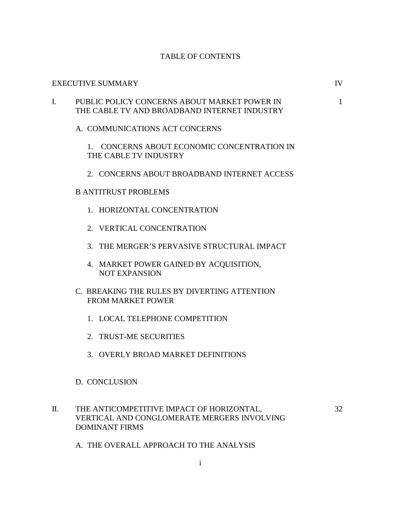### TABLE OF CONTENTS

#### EXECUTIVE SUMMARY IV

# I. PUBLIC POLICY CONCERNS ABOUT MARKET POWER IN 1 THE CABLE TV AND BROADBAND INTERNET INDUSTRY

A. COMMUNICATIONS ACT CONCERNS

1. CONCERNS ABOUT ECONOMIC CONCENTRATION IN THE CABLE TV INDUSTRY

2. CONCERNS ABOUT BROADBAND INTERNET ACCESS

## B ANTITRUST PROBLEMS

- 1. HORIZONTAL CONCENTRATION
- 2. VERTICAL CONCENTRATION
- 3. THE MERGER'S PERVASIVE STRUCTURAL IMPACT
- 4. MARKET POWER GAINED BY ACQUISITION, NOT EXPANSION
- C. BREAKING THE RULES BY DIVERTING ATTENTION FROM MARKET POWER
	- 1. LOCAL TELEPHONE COMPETITION
	- 2. TRUST-ME SECURITIES
	- 3. OVERLY BROAD MARKET DEFINITIONS

#### D. CONCLUSION

II. THE ANTICOMPETITIVE IMPACT OF HORIZONTAL, 32 VERTICAL AND CONGLOMERATE MERGERS INVOLVING DOMINANT FIRMS

A. THE OVERALL APPROACH TO THE ANALYSIS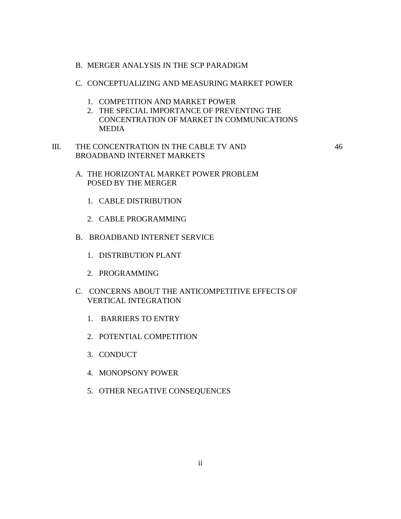- B. MERGER ANALYSIS IN THE SCP PARADIGM
- C. CONCEPTUALIZING AND MEASURING MARKET POWER
	- 1. COMPETITION AND MARKET POWER
	- 2. THE SPECIAL IMPORTANCE OF PREVENTING THE CONCENTRATION OF MARKET IN COMMUNICATIONS MEDIA
- III. THE CONCENTRATION IN THE CABLE TV AND 46 BROADBAND INTERNET MARKETS

- A. THE HORIZONTAL MARKET POWER PROBLEM POSED BY THE MERGER
	- 1. CABLE DISTRIBUTION
	- 2. CABLE PROGRAMMING
- B. BROADBAND INTERNET SERVICE
	- 1. DISTRIBUTION PLANT
	- 2. PROGRAMMING
- C. CONCERNS ABOUT THE ANTICOMPETITIVE EFFECTS OF VERTICAL INTEGRATION
	- 1. BARRIERS TO ENTRY
	- 2. POTENTIAL COMPETITION
	- 3. CONDUCT
	- 4. MONOPSONY POWER
	- 5. OTHER NEGATIVE CONSEQUENCES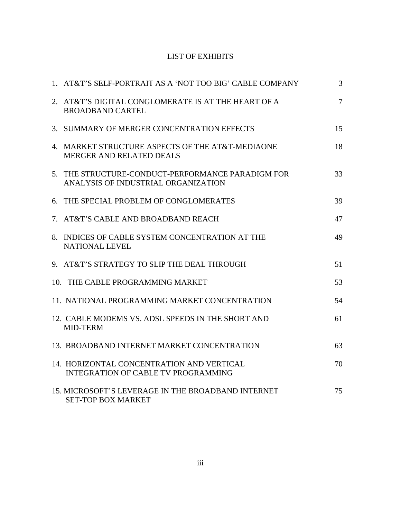# LIST OF EXHIBITS

| 1. AT&T'S SELF-PORTRAIT AS A 'NOT TOO BIG' CABLE COMPANY                                 | $\overline{3}$ |
|------------------------------------------------------------------------------------------|----------------|
| 2. AT&T'S DIGITAL CONGLOMERATE IS AT THE HEART OF A<br><b>BROADBAND CARTEL</b>           | $\overline{7}$ |
| 3. SUMMARY OF MERGER CONCENTRATION EFFECTS                                               | 15             |
| 4. MARKET STRUCTURE ASPECTS OF THE AT&T-MEDIAONE<br>MERGER AND RELATED DEALS             | 18             |
| 5. THE STRUCTURE-CONDUCT-PERFORMANCE PARADIGM FOR<br>ANALYSIS OF INDUSTRIAL ORGANIZATION | 33             |
| 6. THE SPECIAL PROBLEM OF CONGLOMERATES                                                  | 39             |
| 7. AT&T'S CABLE AND BROADBAND REACH                                                      | 47             |
| 8. INDICES OF CABLE SYSTEM CONCENTRATION AT THE<br><b>NATIONAL LEVEL</b>                 | 49             |
| 9. AT&T'S STRATEGY TO SLIP THE DEAL THROUGH                                              | 51             |
| 10. THE CABLE PROGRAMMING MARKET                                                         | 53             |
| 11. NATIONAL PROGRAMMING MARKET CONCENTRATION                                            | 54             |
| 12. CABLE MODEMS VS. ADSL SPEEDS IN THE SHORT AND<br>MID-TERM                            | 61             |
| 13. BROADBAND INTERNET MARKET CONCENTRATION                                              | 63             |
| 14. HORIZONTAL CONCENTRATION AND VERTICAL<br><b>INTEGRATION OF CABLE TV PROGRAMMING</b>  | 70             |
| 15. MICROSOFT'S LEVERAGE IN THE BROADBAND INTERNET<br><b>SET-TOP BOX MARKET</b>          | 75             |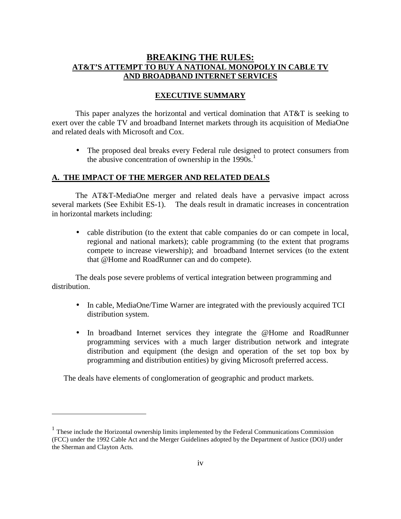# **BREAKING THE RULES: AT&T'S ATTEMPT TO BUY A NATIONAL MONOPOLY IN CABLE TV AND BROADBAND INTERNET SERVICES**

## **EXECUTIVE SUMMARY**

This paper analyzes the horizontal and vertical domination that AT&T is seeking to exert over the cable TV and broadband Internet markets through its acquisition of MediaOne and related deals with Microsoft and Cox.

• The proposed deal breaks every Federal rule designed to protect consumers from the abusive concentration of ownership in the  $1990s$ <sup>1</sup>

# **A. THE IMPACT OF THE MERGER AND RELATED DEALS**

The AT&T-MediaOne merger and related deals have a pervasive impact across several markets (See Exhibit ES-1). The deals result in dramatic increases in concentration in horizontal markets including:

• cable distribution (to the extent that cable companies do or can compete in local, regional and national markets); cable programming (to the extent that programs compete to increase viewership); and broadband Internet services (to the extent that @Home and RoadRunner can and do compete).

The deals pose severe problems of vertical integration between programming and distribution.

- In cable, MediaOne/Time Warner are integrated with the previously acquired TCI distribution system.
- In broadband Internet services they integrate the @Home and RoadRunner programming services with a much larger distribution network and integrate distribution and equipment (the design and operation of the set top box by programming and distribution entities) by giving Microsoft preferred access.

The deals have elements of conglomeration of geographic and product markets.

<sup>&</sup>lt;sup>1</sup> These include the Horizontal ownership limits implemented by the Federal Communications Commission (FCC) under the 1992 Cable Act and the Merger Guidelines adopted by the Department of Justice (DOJ) under the Sherman and Clayton Acts.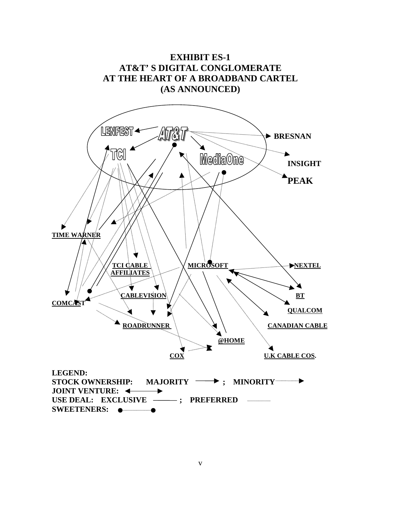

v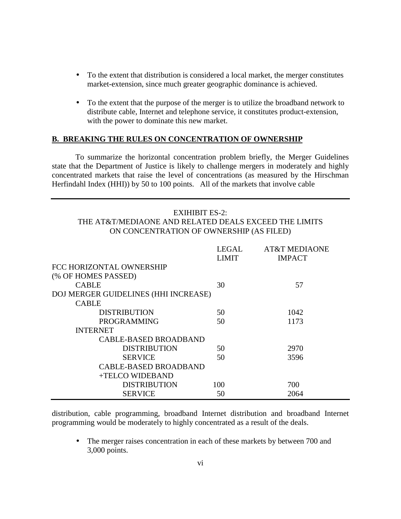- To the extent that distribution is considered a local market, the merger constitutes market-extension, since much greater geographic dominance is achieved.
- To the extent that the purpose of the merger is to utilize the broadband network to distribute cable, Internet and telephone service, it constitutes product-extension, with the power to dominate this new market.

#### **B. BREAKING THE RULES ON CONCENTRATION OF OWNERSHIP**

To summarize the horizontal concentration problem briefly, the Merger Guidelines state that the Department of Justice is likely to challenge mergers in moderately and highly concentrated markets that raise the level of concentrations (as measured by the Hirschman Herfindahl Index (HHI)) by 50 to 100 points. All of the markets that involve cable

#### EXIHIBIT ES-2:

## THE AT&T/MEDIAONE AND RELATED DEALS EXCEED THE LIMITS ON CONCENTRATION OF OWNERSHIP (AS FILED)

|                                      | LEGAL | <b>AT&amp;T MEDIAONE</b> |
|--------------------------------------|-------|--------------------------|
|                                      | LIMIT | <b>IMPACT</b>            |
| FCC HORIZONTAL OWNERSHIP             |       |                          |
| (% OF HOMES PASSED)                  |       |                          |
| <b>CABLE</b>                         | 30    | 57                       |
| DOJ MERGER GUIDELINES (HHI INCREASE) |       |                          |
| <b>CABLE</b>                         |       |                          |
| <b>DISTRIBUTION</b>                  | 50    | 1042                     |
| <b>PROGRAMMING</b>                   | 50    | 1173                     |
| <b>INTERNET</b>                      |       |                          |
| <b>CABLE-BASED BROADBAND</b>         |       |                          |
| <b>DISTRIBUTION</b>                  | 50    | 2970                     |
| <b>SERVICE</b>                       | 50    | 3596                     |
| <b>CABLE-BASED BROADBAND</b>         |       |                          |
| +TELCO WIDEBAND                      |       |                          |
| <b>DISTRIBUTION</b>                  | 100   | 700                      |
| <b>SERVICE</b>                       | 50    | 2064                     |

distribution, cable programming, broadband Internet distribution and broadband Internet programming would be moderately to highly concentrated as a result of the deals.

• The merger raises concentration in each of these markets by between 700 and 3,000 points.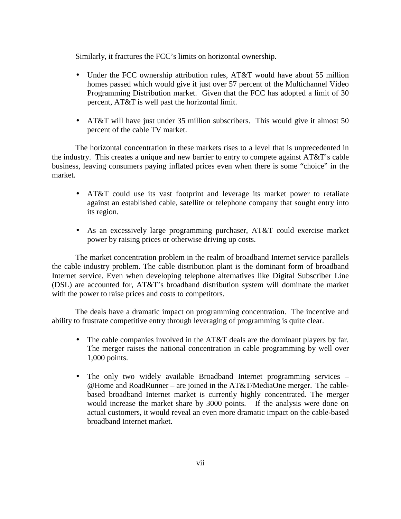Similarly, it fractures the FCC's limits on horizontal ownership.

- Under the FCC ownership attribution rules, AT&T would have about 55 million homes passed which would give it just over 57 percent of the Multichannel Video Programming Distribution market. Given that the FCC has adopted a limit of 30 percent, AT&T is well past the horizontal limit.
- AT&T will have just under 35 million subscribers. This would give it almost 50 percent of the cable TV market.

The horizontal concentration in these markets rises to a level that is unprecedented in the industry. This creates a unique and new barrier to entry to compete against AT&T's cable business, leaving consumers paying inflated prices even when there is some "choice" in the market.

- AT&T could use its vast footprint and leverage its market power to retaliate against an established cable, satellite or telephone company that sought entry into its region.
- As an excessively large programming purchaser, AT&T could exercise market power by raising prices or otherwise driving up costs.

The market concentration problem in the realm of broadband Internet service parallels the cable industry problem. The cable distribution plant is the dominant form of broadband Internet service. Even when developing telephone alternatives like Digital Subscriber Line (DSL) are accounted for, AT&T's broadband distribution system will dominate the market with the power to raise prices and costs to competitors.

The deals have a dramatic impact on programming concentration. The incentive and ability to frustrate competitive entry through leveraging of programming is quite clear.

- The cable companies involved in the AT&T deals are the dominant players by far. The merger raises the national concentration in cable programming by well over 1,000 points.
- The only two widely available Broadband Internet programming services @Home and RoadRunner – are joined in the AT&T/MediaOne merger. The cablebased broadband Internet market is currently highly concentrated. The merger would increase the market share by 3000 points. If the analysis were done on actual customers, it would reveal an even more dramatic impact on the cable-based broadband Internet market.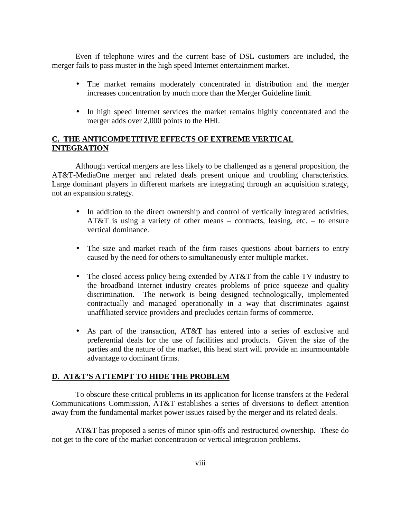Even if telephone wires and the current base of DSL customers are included, the merger fails to pass muster in the high speed Internet entertainment market.

- The market remains moderately concentrated in distribution and the merger increases concentration by much more than the Merger Guideline limit.
- In high speed Internet services the market remains highly concentrated and the merger adds over 2,000 points to the HHI.

# **C. THE ANTICOMPETITIVE EFFECTS OF EXTREME VERTICAL INTEGRATION**

Although vertical mergers are less likely to be challenged as a general proposition, the AT&T-MediaOne merger and related deals present unique and troubling characteristics. Large dominant players in different markets are integrating through an acquisition strategy, not an expansion strategy.

- In addition to the direct ownership and control of vertically integrated activities, AT&T is using a variety of other means – contracts, leasing, etc. – to ensure vertical dominance.
- The size and market reach of the firm raises questions about barriers to entry caused by the need for others to simultaneously enter multiple market.
- The closed access policy being extended by AT&T from the cable TV industry to the broadband Internet industry creates problems of price squeeze and quality discrimination. The network is being designed technologically, implemented contractually and managed operationally in a way that discriminates against unaffiliated service providers and precludes certain forms of commerce.
- As part of the transaction, AT&T has entered into a series of exclusive and preferential deals for the use of facilities and products. Given the size of the parties and the nature of the market, this head start will provide an insurmountable advantage to dominant firms.

# **D. AT&T'S ATTEMPT TO HIDE THE PROBLEM**

To obscure these critical problems in its application for license transfers at the Federal Communications Commission, AT&T establishes a series of diversions to deflect attention away from the fundamental market power issues raised by the merger and its related deals.

AT&T has proposed a series of minor spin-offs and restructured ownership. These do not get to the core of the market concentration or vertical integration problems.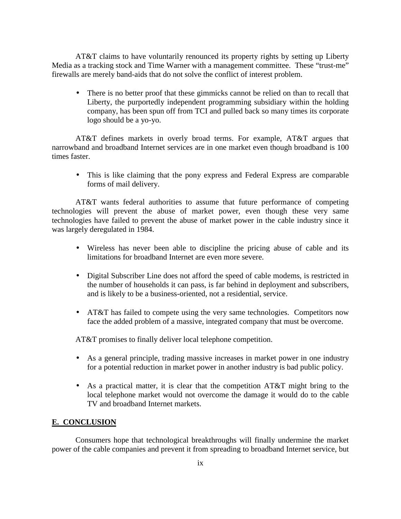AT&T claims to have voluntarily renounced its property rights by setting up Liberty Media as a tracking stock and Time Warner with a management committee. These "trust-me" firewalls are merely band-aids that do not solve the conflict of interest problem.

• There is no better proof that these gimmicks cannot be relied on than to recall that Liberty, the purportedly independent programming subsidiary within the holding company, has been spun off from TCI and pulled back so many times its corporate logo should be a yo-yo.

AT&T defines markets in overly broad terms. For example, AT&T argues that narrowband and broadband Internet services are in one market even though broadband is 100 times faster.

• This is like claiming that the pony express and Federal Express are comparable forms of mail delivery.

AT&T wants federal authorities to assume that future performance of competing technologies will prevent the abuse of market power, even though these very same technologies have failed to prevent the abuse of market power in the cable industry since it was largely deregulated in 1984.

- Wireless has never been able to discipline the pricing abuse of cable and its limitations for broadband Internet are even more severe.
- Digital Subscriber Line does not afford the speed of cable modems, is restricted in the number of households it can pass, is far behind in deployment and subscribers, and is likely to be a business-oriented, not a residential, service.
- AT&T has failed to compete using the very same technologies. Competitors now face the added problem of a massive, integrated company that must be overcome.

AT&T promises to finally deliver local telephone competition.

- As a general principle, trading massive increases in market power in one industry for a potential reduction in market power in another industry is bad public policy.
- As a practical matter, it is clear that the competition AT&T might bring to the local telephone market would not overcome the damage it would do to the cable TV and broadband Internet markets.

# **E. CONCLUSION**

Consumers hope that technological breakthroughs will finally undermine the market power of the cable companies and prevent it from spreading to broadband Internet service, but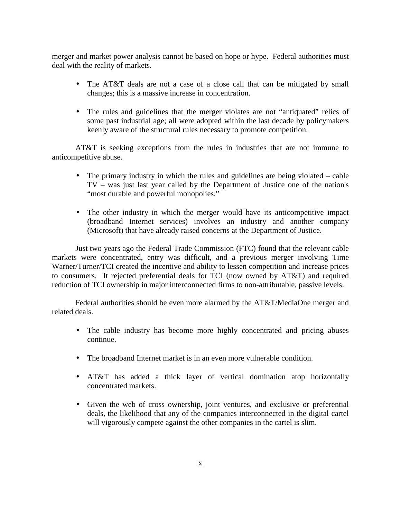merger and market power analysis cannot be based on hope or hype. Federal authorities must deal with the reality of markets.

- The AT&T deals are not a case of a close call that can be mitigated by small changes; this is a massive increase in concentration.
- The rules and guidelines that the merger violates are not "antiquated" relics of some past industrial age; all were adopted within the last decade by policymakers keenly aware of the structural rules necessary to promote competition.

AT&T is seeking exceptions from the rules in industries that are not immune to anticompetitive abuse.

- The primary industry in which the rules and guidelines are being violated cable TV – was just last year called by the Department of Justice one of the nation's "most durable and powerful monopolies."
- The other industry in which the merger would have its anticompetitive impact (broadband Internet services) involves an industry and another company (Microsoft) that have already raised concerns at the Department of Justice.

Just two years ago the Federal Trade Commission (FTC) found that the relevant cable markets were concentrated, entry was difficult, and a previous merger involving Time Warner/Turner/TCI created the incentive and ability to lessen competition and increase prices to consumers. It rejected preferential deals for TCI (now owned by AT&T) and required reduction of TCI ownership in major interconnected firms to non-attributable, passive levels.

Federal authorities should be even more alarmed by the AT&T/MediaOne merger and related deals.

- The cable industry has become more highly concentrated and pricing abuses continue.
- The broadband Internet market is in an even more vulnerable condition.
- AT&T has added a thick layer of vertical domination atop horizontally concentrated markets.
- Given the web of cross ownership, joint ventures, and exclusive or preferential deals, the likelihood that any of the companies interconnected in the digital cartel will vigorously compete against the other companies in the cartel is slim.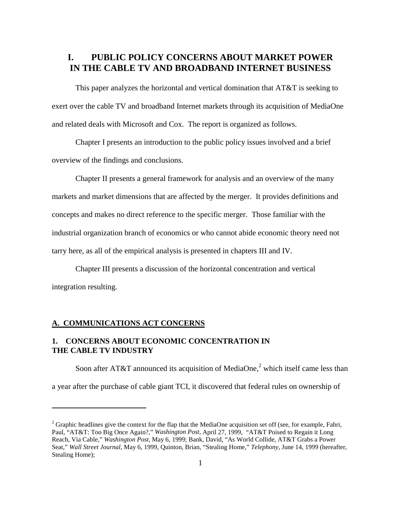# **I. PUBLIC POLICY CONCERNS ABOUT MARKET POWER IN THE CABLE TV AND BROADBAND INTERNET BUSINESS**

This paper analyzes the horizontal and vertical domination that AT&T is seeking to exert over the cable TV and broadband Internet markets through its acquisition of MediaOne and related deals with Microsoft and Cox. The report is organized as follows.

Chapter I presents an introduction to the public policy issues involved and a brief overview of the findings and conclusions.

Chapter II presents a general framework for analysis and an overview of the many markets and market dimensions that are affected by the merger. It provides definitions and concepts and makes no direct reference to the specific merger. Those familiar with the industrial organization branch of economics or who cannot abide economic theory need not tarry here, as all of the empirical analysis is presented in chapters III and IV.

Chapter III presents a discussion of the horizontal concentration and vertical integration resulting.

#### **A. COMMUNICATIONS ACT CONCERNS**

 $\overline{a}$ 

# **1. CONCERNS ABOUT ECONOMIC CONCENTRATION IN THE CABLE TV INDUSTRY**

Soon after AT&T announced its acquisition of MediaOne,<sup>2</sup> which itself came less than a year after the purchase of cable giant TCI, it discovered that federal rules on ownership of

<sup>&</sup>lt;sup>2</sup> Graphic headlines give the context for the flap that the MediaOne acquisition set off (see, for example, Fahri, Paul, "AT&T: Too Big Once Again?," *Washington Post,* April 27, 1999, "AT&T Poised to Regain it Long Reach, Via Cable," *Washington Post,* May 6, 1999; Bank, David, "As World Collide, AT&T Grabs a Power Seat," *Wall Street Journal*, May 6, 1999, Quinton, Brian, "Stealing Home," *Telephony*, June 14, 1999 (hereafter, Stealing Home);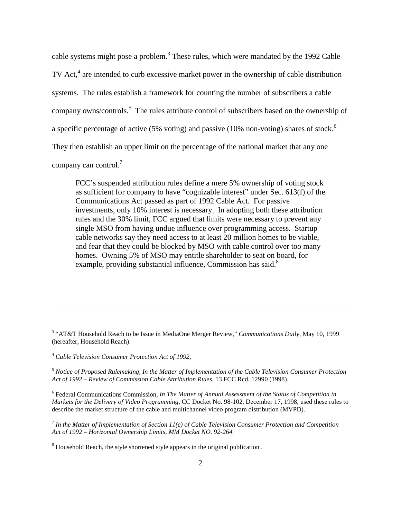cable systems might pose a problem.<sup>3</sup> These rules, which were mandated by the 1992 Cable TV Act,<sup>4</sup> are intended to curb excessive market power in the ownership of cable distribution systems. The rules establish a framework for counting the number of subscribers a cable company owns/controls.<sup>5</sup> The rules attribute control of subscribers based on the ownership of a specific percentage of active (5% voting) and passive (10% non-voting) shares of stock.<sup>6</sup> They then establish an upper limit on the percentage of the national market that any one company can control.<sup>7</sup>

FCC's suspended attribution rules define a mere 5% ownership of voting stock as sufficient for company to have "cognizable interest" under Sec. 613(f) of the Communications Act passed as part of 1992 Cable Act. For passive investments, only 10% interest is necessary. In adopting both these attribution rules and the 30% limit, FCC argued that limits were necessary to prevent any single MSO from having undue influence over programming access. Startup cable networks say they need access to at least 20 million homes to be viable, and fear that they could be blocked by MSO with cable control over too many homes. Owning 5% of MSO may entitle shareholder to seat on board, for example, providing substantial influence, Commission has said.<sup>8</sup>

3 "AT&T Household Reach to be Issue in MediaOne Merger Review," *Communications Daily*, May 10, 1999 (hereafter, Household Reach).

<sup>4</sup> *Cable Television Consumer Protection Act of 1992,*

 $\overline{a}$ 

<sup>5</sup> *Notice of Proposed Rulemaking, In the Matter of Implementation of the Cable Television Consumer Protection Act of 1992 – Review of Commission Cable Attribution Rules*, 13 FCC Rcd. 12990 (1998).

6 Federal Communications Commission, *In The Matter of Annual Assessment of the Status of Competition in Markets for the Delivery of Video Programming*, CC Docket No. 98-102, December 17, 1998, used these rules to describe the market structure of the cable and multichannel video program distribution (MVPD).

<sup>7</sup> *In the Matter of Implementation of Section 11(c) of Cable Television Consumer Protection and Competition Act of 1992 – Horizontal Ownership Limits, MM Docket NO. 92-264.*

<sup>8</sup> Household Reach, the style shortened style appears in the original publication.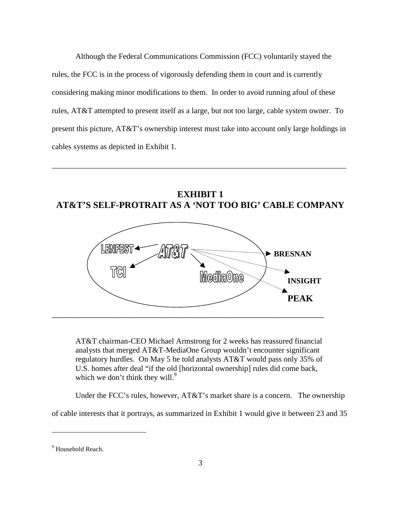Although the Federal Communications Commission (FCC) voluntarily stayed the rules, the FCC is in the process of vigorously defending them in court and is currently considering making minor modifications to them. In order to avoid running afoul of these rules, AT&T attempted to present itself as a large, but not too large, cable system owner. To present this picture, AT&T's ownership interest must take into account only large holdings in cables systems as depicted in Exhibit 1.

\_\_\_\_\_\_\_\_\_\_\_\_\_\_\_\_\_\_\_\_\_\_\_\_\_\_\_\_\_\_\_\_\_\_\_\_\_\_\_\_\_\_\_\_\_\_\_\_\_\_\_\_\_\_\_\_\_\_\_\_\_\_\_\_\_\_\_\_\_\_\_\_\_\_\_

**EXHIBIT 1 AT&T'S SELF-PROTRAIT AS A 'NOT TOO BIG' CABLE COMPANY**



AT&T chairman-CEO Michael Armstrong for 2 weeks has reassured financial analysts that merged AT&T-MediaOne Group wouldn't encounter significant regulatory hurdles. On May 5 he told analysts AT&T would pass only 35% of U.S. homes after deal "if the old [horizontal ownership] rules did come back, which we don't think they will.<sup>9</sup>

Under the FCC's rules, however, AT&T's market share is a concern. The ownership

of cable interests that it portrays, as summarized in Exhibit 1 would give it between 23 and 35

<sup>&</sup>lt;sup>9</sup> Household Reach.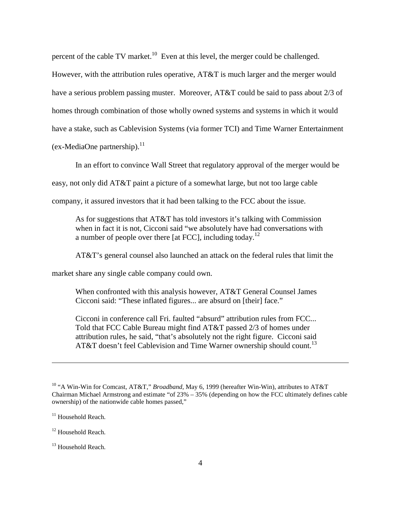percent of the cable TV market.<sup>10</sup> Even at this level, the merger could be challenged.

However, with the attribution rules operative, AT&T is much larger and the merger would have a serious problem passing muster. Moreover, AT&T could be said to pass about 2/3 of homes through combination of those wholly owned systems and systems in which it would have a stake, such as Cablevision Systems (via former TCI) and Time Warner Entertainment  $(ex-MediaOne\ partership).<sup>11</sup>$ 

In an effort to convince Wall Street that regulatory approval of the merger would be

easy, not only did AT&T paint a picture of a somewhat large, but not too large cable

company, it assured investors that it had been talking to the FCC about the issue.

As for suggestions that AT&T has told investors it's talking with Commission when in fact it is not, Cicconi said "we absolutely have had conversations with a number of people over there [at FCC], including today.<sup>12</sup>

AT&T's general counsel also launched an attack on the federal rules that limit the

market share any single cable company could own.

When confronted with this analysis however, AT&T General Counsel James Cicconi said: "These inflated figures... are absurd on [their] face."

Cicconi in conference call Fri. faulted "absurd" attribution rules from FCC... Told that FCC Cable Bureau might find AT&T passed 2/3 of homes under attribution rules, he said, "that's absolutely not the right figure. Cicconi said AT&T doesn't feel Cablevision and Time Warner ownership should count.<sup>13</sup>

<sup>10 &</sup>quot;A Win-Win for Comcast, AT&T," *Broadband,* May 6, 1999 (hereafter Win-Win), attributes to AT&T Chairman Michael Armstrong and estimate "of 23% – 35% (depending on how the FCC ultimately defines cable ownership) of the nationwide cable homes passed,"

<sup>&</sup>lt;sup>11</sup> Household Reach.

<sup>&</sup>lt;sup>12</sup> Household Reach.

<sup>&</sup>lt;sup>13</sup> Household Reach.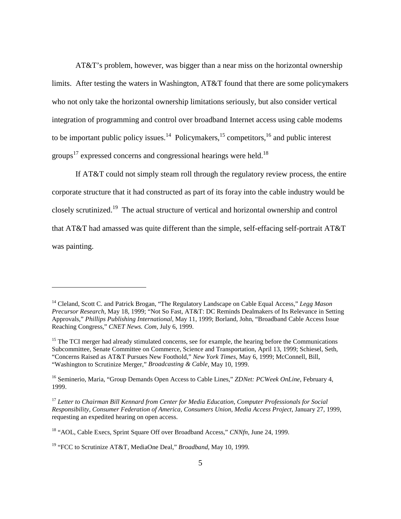AT&T's problem, however, was bigger than a near miss on the horizontal ownership limits. After testing the waters in Washington, AT&T found that there are some policymakers who not only take the horizontal ownership limitations seriously, but also consider vertical integration of programming and control over broadband Internet access using cable modems to be important public policy issues.<sup>14</sup> Policymakers,<sup>15</sup> competitors,<sup>16</sup> and public interest groups<sup>17</sup> expressed concerns and congressional hearings were held.<sup>18</sup>

If AT&T could not simply steam roll through the regulatory review process, the entire corporate structure that it had constructed as part of its foray into the cable industry would be closely scrutinized.19 The actual structure of vertical and horizontal ownership and control that AT&T had amassed was quite different than the simple, self-effacing self-portrait AT&T was painting.

<sup>14</sup> Cleland, Scott C. and Patrick Brogan, "The Regulatory Landscape on Cable Equal Access," *Legg Mason Precursor Research*, May 18, 1999; "Not So Fast, AT&T: DC Reminds Dealmakers of Its Relevance in Setting Approvals," *Phillips Publishing International*, May 11, 1999; Borland, John, "Broadband Cable Access Issue Reaching Congress," *CNET News. Com,* July 6, 1999.

 $<sup>15</sup>$  The TCI merger had already stimulated concerns, see for example, the hearing before the Communications</sup> Subcommittee, Senate Committee on Commerce, Science and Transportation, April 13, 1999; Schiesel, Seth, "Concerns Raised as AT&T Pursues New Foothold," *New York Times,* May 6, 1999; McConnell, Bill, "Washington to Scrutinize Merger," *Broadcasting & Cable*, May 10, 1999.

<sup>&</sup>lt;sup>16</sup> Seminerio, Maria, "Group Demands Open Access to Cable Lines," *ZDNet: PCWeek OnLine*, February 4, 1999.

<sup>17</sup> *Letter to Chairman Bill Kennard from Center for Media Education, Computer Professionals for Social Responsibility, Consumer Federation of America, Consumers Union, Media Access Project,* January 27, 1999, requesting an expedited hearing on open access.

<sup>18 &</sup>quot;AOL, Cable Execs, Sprint Square Off over Broadband Access," *CNNfn*, June 24, 1999.

<sup>19 &</sup>quot;FCC to Scrutinize AT&T, MediaOne Deal," *Broadband,* May 10, 1999.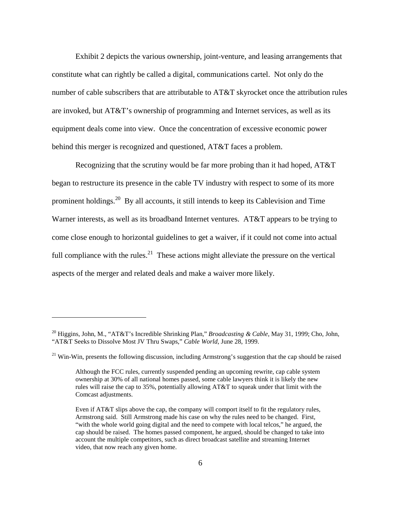Exhibit 2 depicts the various ownership, joint-venture, and leasing arrangements that constitute what can rightly be called a digital, communications cartel. Not only do the number of cable subscribers that are attributable to AT&T skyrocket once the attribution rules are invoked, but AT&T's ownership of programming and Internet services, as well as its equipment deals come into view. Once the concentration of excessive economic power behind this merger is recognized and questioned, AT&T faces a problem.

Recognizing that the scrutiny would be far more probing than it had hoped, AT&T began to restructure its presence in the cable TV industry with respect to some of its more prominent holdings.<sup>20</sup> By all accounts, it still intends to keep its Cablevision and Time Warner interests, as well as its broadband Internet ventures. AT&T appears to be trying to come close enough to horizontal guidelines to get a waiver, if it could not come into actual full compliance with the rules.<sup>21</sup> These actions might alleviate the pressure on the vertical aspects of the merger and related deals and make a waiver more likely.

<sup>20</sup> Higgins, John, M., "AT&T's Incredible Shrinking Plan," *Broadcasting & Cable*, May 31, 1999; Cho, John, "AT&T Seeks to Dissolve Most JV Thru Swaps," *Cable World*, June 28, 1999.

 $21$  Win-Win, presents the following discussion, including Armstrong's suggestion that the cap should be raised

Although the FCC rules, currently suspended pending an upcoming rewrite, cap cable system ownership at 30% of all national homes passed, some cable lawyers think it is likely the new rules will raise the cap to 35%, potentially allowing AT&T to squeak under that limit with the Comcast adjustments.

Even if AT&T slips above the cap, the company will comport itself to fit the regulatory rules, Armstrong said. Still Armstrong made his case on why the rules need to be changed. First, "with the whole world going digital and the need to compete with local telcos," he argued, the cap should be raised. The homes passed component, he argued, should be changed to take into account the multiple competitors, such as direct broadcast satellite and streaming Internet video, that now reach any given home.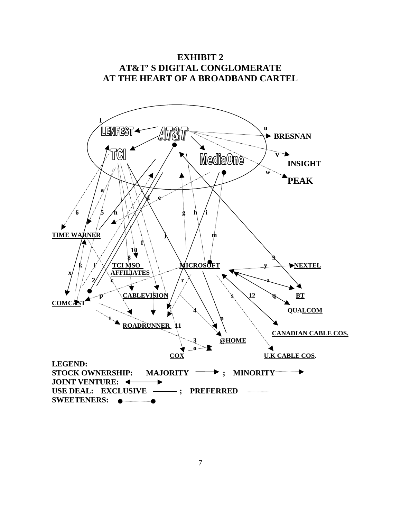

7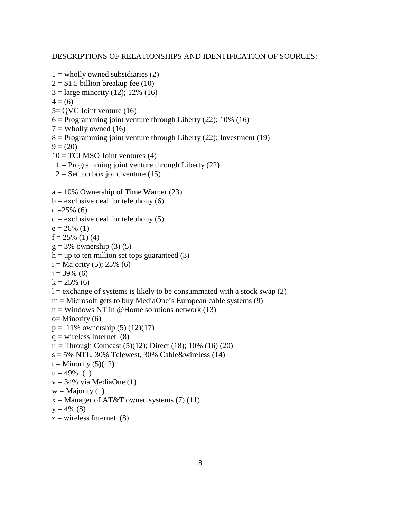#### DESCRIPTIONS OF RELATIONSHIPS AND IDENTIFICATION OF SOURCES:

```
1 = wholly owned subsidiaries (2)2 = $1.5 billion breakup fee (10)
3 =large minority (12); 12% (16)
4 = (6)5= QVC Joint venture (16)
6 = Programming joint venture through Liberty (22); 10% (16)
7 = Wholly owned (16)
8 = Programming joint venture through Liberty (22); Investment (19)
9 = (20)10 = TCI MSO Joint ventures (4)
11 = Programming joint venture through Liberty (22)
12 = Set top box joint venture (15)
a = 10\% Ownership of Time Warner (23)
b = exclusive deal for telephony (6)
c = 25\% (6)
d = exclusive deal for telephony (5)
e = 26\% (1)
f = 25\% (1) (4)
g = 3\% ownership (3) (5)
h =up to ten million set tops guaranteed (3)
i =Majority (5); 25% (6)
j = 39\% (6)
k = 25\% (6)
l = exchange of systems is likely to be consummated with a stock swap (2)m = Microsoft gets to buy MediaOne's European cable systems (9)
n = Windows NT in @Home solutions network (13)
o= Minority (6)p = 11\% ownership (5) (12)(17)
q = wireless Internet (8)
r =Through Comcast (5)(12); Direct (18); 10% (16) (20)
s = 5\% NTL, 30% Telewest, 30% Cable&wireless (14)
t =Minority (5)(12)
u = 49\% (1)
v = 34\% via MediaOne (1)
w =Majority (1)
x =Manager of AT&T owned systems (7) (11)
y = 4\% (8)
z = wireless Internet (8)
```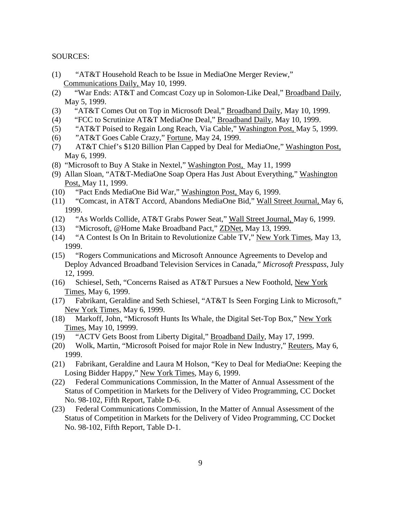#### SOURCES:

- (1) "AT&T Household Reach to be Issue in MediaOne Merger Review," Communications Daily, May 10, 1999.
- (2) "War Ends: AT&T and Comcast Cozy up in Solomon-Like Deal," Broadband Daily, May 5, 1999.
- (3) "AT&T Comes Out on Top in Microsoft Deal," Broadband Daily, May 10, 1999.
- (4) "FCC to Scrutinize AT&T MediaOne Deal," Broadband Daily, May 10, 1999.
- (5) "AT&T Poised to Regain Long Reach, Via Cable," Washington Post, May 5, 1999.
- (6) "AT&T Goes Cable Crazy," Fortune, May 24, 1999.
- (7) AT&T Chief's \$120 Billion Plan Capped by Deal for MediaOne," Washington Post, May 6, 1999.
- (8) "Microsoft to Buy A Stake in Nextel," Washington Post, May 11, 1999
- (9) Allan Sloan, "AT&T-MediaOne Soap Opera Has Just About Everything," Washington Post, May 11, 1999.
- (10) "Pact Ends MediaOne Bid War," Washington Post, May 6, 1999.
- (11) "Comcast, in AT&T Accord, Abandons MediaOne Bid," Wall Street Journal, May 6, 1999.
- (12) "As Worlds Collide, AT&T Grabs Power Seat," Wall Street Journal, May 6, 1999.
- (13) "Microsoft, @Home Make Broadband Pact," ZDNet, May 13, 1999.
- (14) "A Contest Is On In Britain to Revolutionize Cable TV," New York Times, May 13, 1999.
- (15) "Rogers Communications and Microsoft Announce Agreements to Develop and Deploy Advanced Broadband Television Services in Canada," *Microsoft Presspass,* July 12, 1999.
- (16) Schiesel, Seth, "Concerns Raised as AT&T Pursues a New Foothold, New York Times, May 6, 1999.
- (17) Fabrikant, Geraldine and Seth Schiesel, "AT&T Is Seen Forging Link to Microsoft," New York Times, May 6, 1999.
- (18) Markoff, John, "Microsoft Hunts Its Whale, the Digital Set-Top Box," New York Times, May 10, 19999.
- (19) "ACTV Gets Boost from Liberty Digital," Broadband Daily, May 17, 1999.
- (20) Wolk, Martin, "Microsoft Poised for major Role in New Industry," Reuters, May 6, 1999.
- (21) Fabrikant, Geraldine and Laura M Holson, "Key to Deal for MediaOne: Keeping the Losing Bidder Happy," New York Times, May 6, 1999.
- (22) Federal Communications Commission, In the Matter of Annual Assessment of the Status of Competition in Markets for the Delivery of Video Programming, CC Docket No. 98-102, Fifth Report, Table D-6.
- (23) Federal Communications Commission, In the Matter of Annual Assessment of the Status of Competition in Markets for the Delivery of Video Programming, CC Docket No. 98-102, Fifth Report, Table D-1.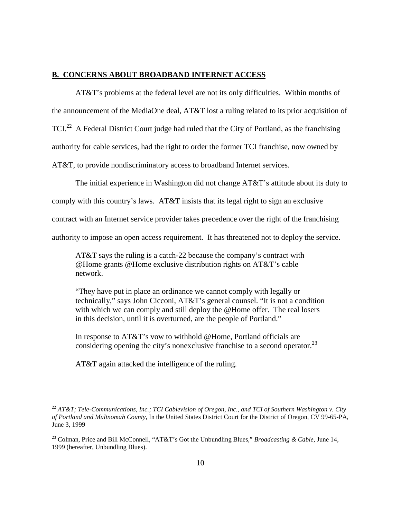#### **B. CONCERNS ABOUT BROADBAND INTERNET ACCESS**

AT&T's problems at the federal level are not its only difficulties. Within months of the announcement of the MediaOne deal, AT&T lost a ruling related to its prior acquisition of TCI.<sup>22</sup> A Federal District Court judge had ruled that the City of Portland, as the franchising authority for cable services, had the right to order the former TCI franchise, now owned by AT&T, to provide nondiscriminatory access to broadband Internet services.

The initial experience in Washington did not change AT&T's attitude about its duty to

comply with this country's laws. AT&T insists that its legal right to sign an exclusive

contract with an Internet service provider takes precedence over the right of the franchising

authority to impose an open access requirement. It has threatened not to deploy the service.

AT&T says the ruling is a catch-22 because the company's contract with @Home grants @Home exclusive distribution rights on AT&T's cable network.

"They have put in place an ordinance we cannot comply with legally or technically," says John Cicconi, AT&T's general counsel. "It is not a condition with which we can comply and still deploy the @Home offer. The real losers in this decision, until it is overturned, are the people of Portland."

In response to AT&T's vow to withhold @Home, Portland officials are considering opening the city's nonexclusive franchise to a second operator.<sup>23</sup>

AT&T again attacked the intelligence of the ruling.

<sup>22</sup> *AT&T; Tele-Communications, Inc.; TCI Cablevision of Oregon, Inc., and TCI of Southern Washington v. City of Portland and Multnomah County*, In the United States District Court for the District of Oregon, CV 99-65-PA, June 3, 1999

<sup>23</sup> Colman, Price and Bill McConnell, "AT&T's Got the Unbundling Blues," *Broadcasting & Cable*, June 14, 1999 (hereafter, Unbundling Blues).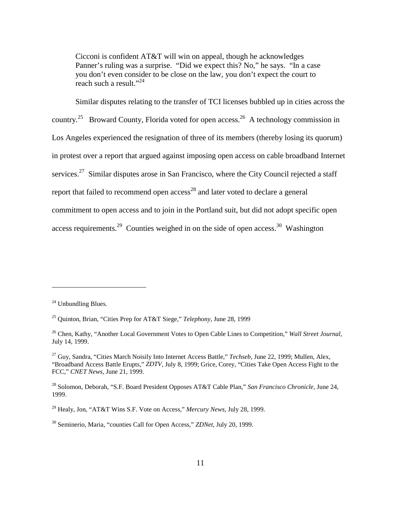Cicconi is confident AT&T will win on appeal, though he acknowledges Panner's ruling was a surprise. "Did we expect this? No," he says. "In a case you don't even consider to be close on the law, you don't expect the court to reach such a result."<sup>24</sup>

Similar disputes relating to the transfer of TCI licenses bubbled up in cities across the country.<sup>25</sup> Broward County, Florida voted for open access.<sup>26</sup> A technology commission in Los Angeles experienced the resignation of three of its members (thereby losing its quorum) in protest over a report that argued against imposing open access on cable broadband Internet services.<sup>27</sup> Similar disputes arose in San Francisco, where the City Council rejected a staff report that failed to recommend open  $access^{28}$  and later voted to declare a general commitment to open access and to join in the Portland suit, but did not adopt specific open access requirements.<sup>29</sup> Counties weighed in on the side of open access.<sup>30</sup> Washington

 $24$  Unbundling Blues.

<sup>25</sup> Quinton, Brian, "Cities Prep for AT&T Siege," *Telephony*, June 28, 1999

<sup>26</sup> Chen, Kathy, "Another Local Government Votes to Open Cable Lines to Competition," *Wall Street Journal*, July 14, 1999.

<sup>27</sup> Guy, Sandra, "Cities March Noisily Into Internet Access Battle," *Techseb*, June 22, 1999; Mullen, Alex, "Broadband Access Battle Erupts," *ZDTV*, July 8, 1999; Grice, Corey, "Cities Take Open Access Fight to the FCC," *CNET News*, June 21, 1999.

<sup>28</sup> Solomon, Deborah, "S.F. Board President Opposes AT&T Cable Plan," *San Francisco Chronicle*, June 24, 1999.

<sup>29</sup> Healy, Jon, "AT&T Wins S.F. Vote on Access," *Mercury News,* July 28, 1999.

<sup>30</sup> Seminerio, Maria, "counties Call for Open Access," *ZDNet*, July 20, 1999.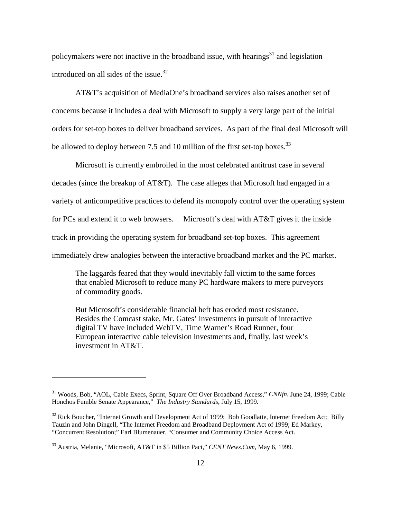policymakers were not inactive in the broadband issue, with hearings<sup>31</sup> and legislation introduced on all sides of the issue.<sup>32</sup>

AT&T's acquisition of MediaOne's broadband services also raises another set of concerns because it includes a deal with Microsoft to supply a very large part of the initial orders for set-top boxes to deliver broadband services. As part of the final deal Microsoft will be allowed to deploy between 7.5 and 10 million of the first set-top boxes.<sup>33</sup>

Microsoft is currently embroiled in the most celebrated antitrust case in several decades (since the breakup of AT&T). The case alleges that Microsoft had engaged in a variety of anticompetitive practices to defend its monopoly control over the operating system

for PCs and extend it to web browsers. Microsoft's deal with AT&T gives it the inside

track in providing the operating system for broadband set-top boxes. This agreement

immediately drew analogies between the interactive broadband market and the PC market.

The laggards feared that they would inevitably fall victim to the same forces that enabled Microsoft to reduce many PC hardware makers to mere purveyors of commodity goods.

But Microsoft's considerable financial heft has eroded most resistance. Besides the Comcast stake, Mr. Gates' investments in pursuit of interactive digital TV have included WebTV, Time Warner's Road Runner, four European interactive cable television investments and, finally, last week's investment in AT&T.

<sup>31</sup> Woods, Bob, "AOL, Cable Execs, Sprint, Square Off Over Broadband Access," *CNNfn,* June 24, 1999; Cable Honchos Fumble Senate Appearance," *The Industry Standards*, July 15, 1999.

<sup>&</sup>lt;sup>32</sup> Rick Boucher, "Internet Growth and Development Act of 1999; Bob Goodlatte, Internet Freedom Act; Billy Tauzin and John Dingell, "The Internet Freedom and Broadband Deployment Act of 1999; Ed Markey, "Concurrent Resolution;" Earl Blumenauer, "Consumer and Community Choice Access Act.

<sup>33</sup> Austria, Melanie, "Microsoft, AT&T in \$5 Billion Pact," *CENT News.Com*, May 6, 1999.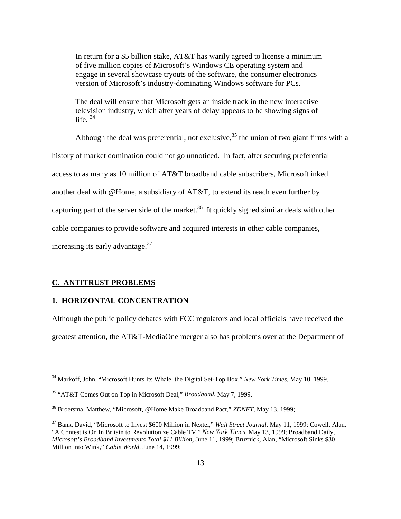In return for a \$5 billion stake, AT&T has warily agreed to license a minimum of five million copies of Microsoft's Windows CE operating system and engage in several showcase tryouts of the software, the consumer electronics version of Microsoft's industry-dominating Windows software for PCs.

The deal will ensure that Microsoft gets an inside track in the new interactive television industry, which after years of delay appears to be showing signs of life.  $34$ 

Although the deal was preferential, not exclusive,  $35$  the union of two giant firms with a history of market domination could not go unnoticed. In fact, after securing preferential access to as many as 10 million of AT&T broadband cable subscribers, Microsoft inked another deal with @Home, a subsidiary of AT&T, to extend its reach even further by capturing part of the server side of the market.<sup>36</sup> It quickly signed similar deals with other cable companies to provide software and acquired interests in other cable companies, increasing its early advantage.  $37$ 

#### **C. ANTITRUST PROBLEMS**

 $\overline{a}$ 

# **1. HORIZONTAL CONCENTRATION**

Although the public policy debates with FCC regulators and local officials have received the greatest attention, the AT&T-MediaOne merger also has problems over at the Department of

<sup>34</sup> Markoff, John, "Microsoft Hunts Its Whale, the Digital Set-Top Box," *New York Times,* May 10, 1999.

<sup>35 &</sup>quot;AT&T Comes Out on Top in Microsoft Deal," *Broadband,* May 7, 1999.

<sup>36</sup> Broersma, Matthew, "Microsoft, @Home Make Broadband Pact," *ZDNET*, May 13, 1999;

<sup>37</sup> Bank, David, "Microsoft to Invest \$600 Million in Nextel," *Wall Street Journal,* May 11, 1999; Cowell, Alan, "A Contest is On In Britain to Revolutionize Cable TV," *New York Times*, May 13, 1999; Broadband Daily, *Microsoft's Broadband Investments Total \$11 Billion,* June 11, 1999; Bruznick, Alan, "Microsoft Sinks \$30 Million into Wink," *Cable World,* June 14, 1999;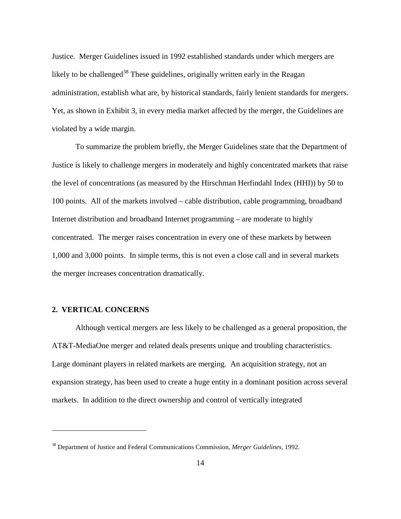Justice. Merger Guidelines issued in 1992 established standards under which mergers are likely to be challenged<sup>38</sup> These guidelines, originally written early in the Reagan administration, establish what are, by historical standards, fairly lenient standards for mergers. Yet, as shown in Exhibit 3, in every media market affected by the merger, the Guidelines are violated by a wide margin.

To summarize the problem briefly, the Merger Guidelines state that the Department of Justice is likely to challenge mergers in moderately and highly concentrated markets that raise the level of concentrations (as measured by the Hirschman Herfindahl Index (HHI)) by 50 to 100 points. All of the markets involved – cable distribution, cable programming, broadband Internet distribution and broadband Internet programming – are moderate to highly concentrated. The merger raises concentration in every one of these markets by between 1,000 and 3,000 points. In simple terms, this is not even a close call and in several markets the merger increases concentration dramatically.

#### **2. VERTICAL CONCERNS**

 $\overline{a}$ 

Although vertical mergers are less likely to be challenged as a general proposition, the AT&T-MediaOne merger and related deals presents unique and troubling characteristics. Large dominant players in related markets are merging. An acquisition strategy, not an expansion strategy, has been used to create a huge entity in a dominant position across several markets. In addition to the direct ownership and control of vertically integrated

<sup>38</sup> Department of Justice and Federal Communications Commission, *Merger Guidelines,* 1992.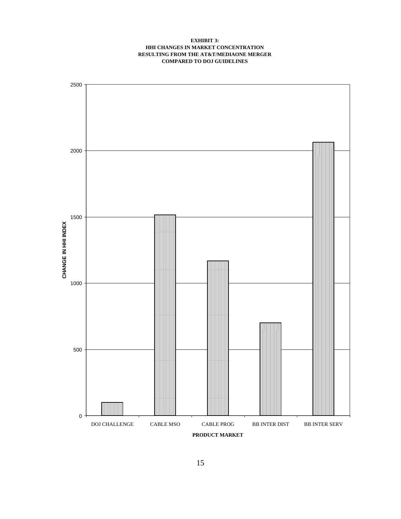#### **EXHIBIT 3: HHI CHANGES IN MARKET CONCENTRATION RESULTING FROM THE AT&T/MEDIAONE MERGER COMPARED TO DOJ GUIDELINES**

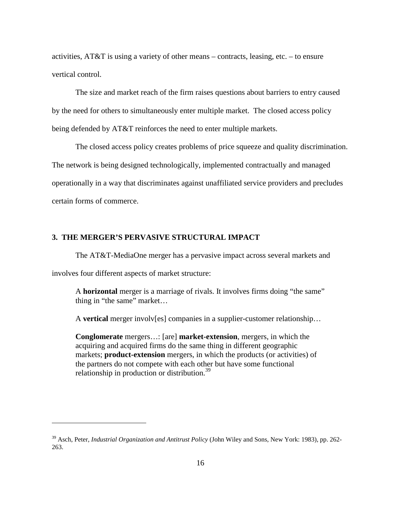activities, AT&T is using a variety of other means – contracts, leasing, etc. – to ensure vertical control.

The size and market reach of the firm raises questions about barriers to entry caused by the need for others to simultaneously enter multiple market. The closed access policy being defended by AT&T reinforces the need to enter multiple markets.

The closed access policy creates problems of price squeeze and quality discrimination. The network is being designed technologically, implemented contractually and managed operationally in a way that discriminates against unaffiliated service providers and precludes certain forms of commerce.

# **3. THE MERGER'S PERVASIVE STRUCTURAL IMPACT**

The AT&T-MediaOne merger has a pervasive impact across several markets and

involves four different aspects of market structure:

 $\overline{a}$ 

A **horizontal** merger is a marriage of rivals. It involves firms doing "the same" thing in "the same" market…

A **vertical** merger involv[es] companies in a supplier-customer relationship…

**Conglomerate** mergers…: [are] **market-extension**, mergers, in which the acquiring and acquired firms do the same thing in different geographic markets; **product-extension** mergers, in which the products (or activities) of the partners do not compete with each other but have some functional relationship in production or distribution.<sup>39</sup>

<sup>&</sup>lt;sup>39</sup> Asch, Peter, *Industrial Organization and Antitrust Policy* (John Wiley and Sons, New York: 1983), pp. 262-263.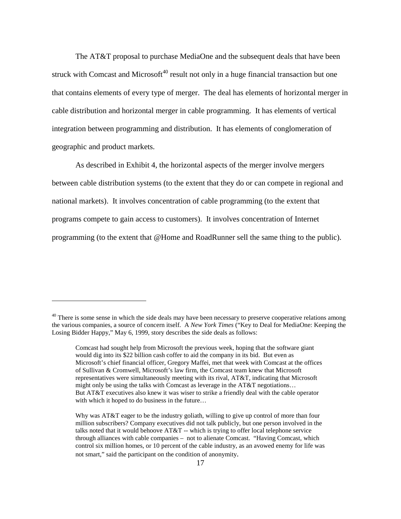The AT&T proposal to purchase MediaOne and the subsequent deals that have been struck with Comcast and Microsoft<sup>40</sup> result not only in a huge financial transaction but one that contains elements of every type of merger. The deal has elements of horizontal merger in cable distribution and horizontal merger in cable programming. It has elements of vertical integration between programming and distribution. It has elements of conglomeration of geographic and product markets.

As described in Exhibit 4, the horizontal aspects of the merger involve mergers between cable distribution systems (to the extent that they do or can compete in regional and national markets). It involves concentration of cable programming (to the extent that programs compete to gain access to customers). It involves concentration of Internet programming (to the extent that @Home and RoadRunner sell the same thing to the public).

<sup>&</sup>lt;sup>40</sup> There is some sense in which the side deals may have been necessary to preserve cooperative relations among the various companies, a source of concern itself. A *New York Times* ("Key to Deal for MediaOne: Keeping the Losing Bidder Happy," May 6, 1999, story describes the side deals as follows:

Comcast had sought help from Microsoft the previous week, hoping that the software giant would dig into its \$22 billion cash coffer to aid the company in its bid. But even as Microsoft's chief financial officer, Gregory Maffei, met that week with Comcast at the offices of Sullivan & Cromwell, Microsoft's law firm, the Comcast team knew that Microsoft representatives were simultaneously meeting with its rival, AT&T, indicating that Microsoft might only be using the talks with Comcast as leverage in the AT&T negotiations… But AT&T executives also knew it was wiser to strike a friendly deal with the cable operator with which it hoped to do business in the future…

Why was AT&T eager to be the industry goliath, willing to give up control of more than four million subscribers? Company executives did not talk publicly, but one person involved in the talks noted that it would behoove AT&T -- which is trying to offer local telephone service through alliances with cable companies – not to alienate Comcast. "Having Comcast, which control six million homes, or 10 percent of the cable industry, as an avowed enemy for life was not smart," said the participant on the condition of anonymity.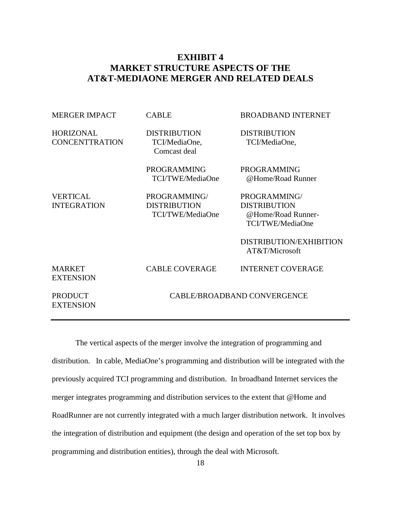# **EXHIBIT 4 MARKET STRUCTURE ASPECTS OF THE AT&T-MEDIAONE MERGER AND RELATED DEALS**

| <b>MERGER IMPACT</b>                      | <b>CABLE</b>                                            | <b>BROADBAND INTERNET</b>                                                                                                  |  |
|-------------------------------------------|---------------------------------------------------------|----------------------------------------------------------------------------------------------------------------------------|--|
| <b>HORIZONAL</b><br><b>CONCENTTRATION</b> | <b>DISTRIBUTION</b><br>TCI/MediaOne,<br>Comcast deal    | <b>DISTRIBUTION</b><br>TCI/MediaOne,                                                                                       |  |
|                                           | <b>PROGRAMMING</b><br>TCI/TWE/MediaOne                  | <b>PROGRAMMING</b><br>@Home/Road Runner                                                                                    |  |
| <b>VERTICAL</b><br><b>INTEGRATION</b>     | PROGRAMMING/<br><b>DISTRIBUTION</b><br>TCI/TWE/MediaOne | PROGRAMMING/<br><b>DISTRIBUTION</b><br>@Home/Road Runner-<br>TCI/TWE/MediaOne<br>DISTRIBUTION/EXHIBITION<br>AT&T/Microsoft |  |
| <b>MARKET</b><br><b>EXTENSION</b>         | <b>CABLE COVERAGE</b>                                   | <b>INTERNET COVERAGE</b>                                                                                                   |  |
| <b>PRODUCT</b><br><b>EXTENSION</b>        | CABLE/BROADBAND CONVERGENCE                             |                                                                                                                            |  |

The vertical aspects of the merger involve the integration of programming and distribution. In cable, MediaOne's programming and distribution will be integrated with the previously acquired TCI programming and distribution. In broadband Internet services the merger integrates programming and distribution services to the extent that @Home and RoadRunner are not currently integrated with a much larger distribution network. It involves the integration of distribution and equipment (the design and operation of the set top box by programming and distribution entities), through the deal with Microsoft.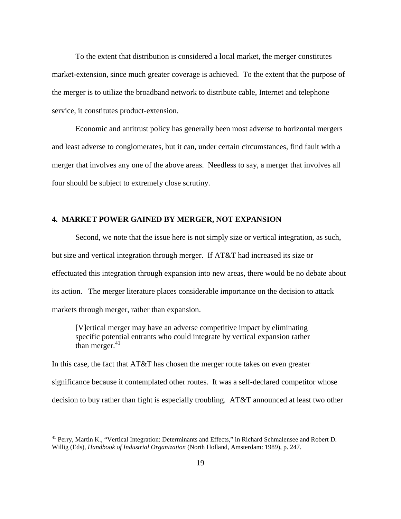To the extent that distribution is considered a local market, the merger constitutes market-extension, since much greater coverage is achieved. To the extent that the purpose of the merger is to utilize the broadband network to distribute cable, Internet and telephone service, it constitutes product-extension.

Economic and antitrust policy has generally been most adverse to horizontal mergers and least adverse to conglomerates, but it can, under certain circumstances, find fault with a merger that involves any one of the above areas. Needless to say, a merger that involves all four should be subject to extremely close scrutiny.

#### **4. MARKET POWER GAINED BY MERGER, NOT EXPANSION**

Second, we note that the issue here is not simply size or vertical integration, as such, but size and vertical integration through merger. If AT&T had increased its size or effectuated this integration through expansion into new areas, there would be no debate about its action. The merger literature places considerable importance on the decision to attack markets through merger, rather than expansion.

[V]ertical merger may have an adverse competitive impact by eliminating specific potential entrants who could integrate by vertical expansion rather than merger. $41$ 

In this case, the fact that AT&T has chosen the merger route takes on even greater significance because it contemplated other routes. It was a self-declared competitor whose decision to buy rather than fight is especially troubling. AT&T announced at least two other

<sup>&</sup>lt;sup>41</sup> Perry, Martin K., "Vertical Integration: Determinants and Effects," in Richard Schmalensee and Robert D. Willig (Eds), *Handbook of Industrial Organization* (North Holland, Amsterdam: 1989), p. 247.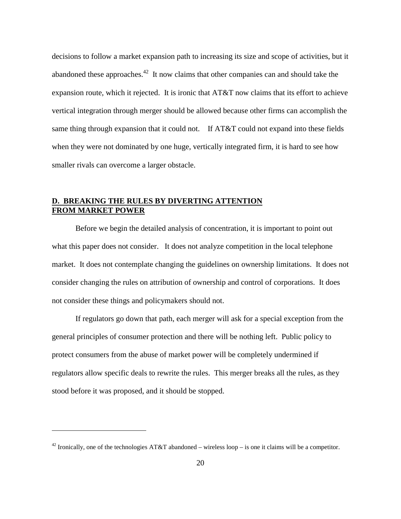decisions to follow a market expansion path to increasing its size and scope of activities, but it abandoned these approaches.<sup>42</sup> It now claims that other companies can and should take the expansion route, which it rejected. It is ironic that  $AT&TT$  now claims that its effort to achieve vertical integration through merger should be allowed because other firms can accomplish the same thing through expansion that it could not. If AT&T could not expand into these fields when they were not dominated by one huge, vertically integrated firm, it is hard to see how smaller rivals can overcome a larger obstacle.

# **D. BREAKING THE RULES BY DIVERTING ATTENTION FROM MARKET POWER**

Before we begin the detailed analysis of concentration, it is important to point out what this paper does not consider. It does not analyze competition in the local telephone market. It does not contemplate changing the guidelines on ownership limitations. It does not consider changing the rules on attribution of ownership and control of corporations. It does not consider these things and policymakers should not.

If regulators go down that path, each merger will ask for a special exception from the general principles of consumer protection and there will be nothing left. Public policy to protect consumers from the abuse of market power will be completely undermined if regulators allow specific deals to rewrite the rules. This merger breaks all the rules, as they stood before it was proposed, and it should be stopped.

<sup>&</sup>lt;sup>42</sup> Ironically, one of the technologies AT&T abandoned – wireless loop – is one it claims will be a competitor.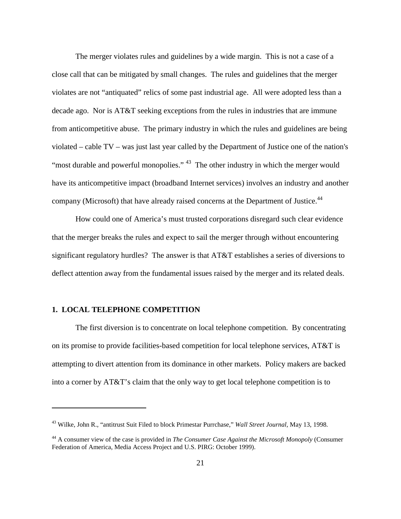The merger violates rules and guidelines by a wide margin. This is not a case of a close call that can be mitigated by small changes. The rules and guidelines that the merger violates are not "antiquated" relics of some past industrial age. All were adopted less than a decade ago. Nor is AT&T seeking exceptions from the rules in industries that are immune from anticompetitive abuse. The primary industry in which the rules and guidelines are being violated – cable TV – was just last year called by the Department of Justice one of the nation's "most durable and powerful monopolies."<sup>43</sup> The other industry in which the merger would have its anticompetitive impact (broadband Internet services) involves an industry and another company (Microsoft) that have already raised concerns at the Department of Justice.<sup>44</sup>

How could one of America's must trusted corporations disregard such clear evidence that the merger breaks the rules and expect to sail the merger through without encountering significant regulatory hurdles? The answer is that AT&T establishes a series of diversions to deflect attention away from the fundamental issues raised by the merger and its related deals.

#### **1. LOCAL TELEPHONE COMPETITION**

 $\overline{a}$ 

The first diversion is to concentrate on local telephone competition. By concentrating on its promise to provide facilities-based competition for local telephone services, AT&T is attempting to divert attention from its dominance in other markets. Policy makers are backed into a corner by AT&T's claim that the only way to get local telephone competition is to

<sup>43</sup> Wilke, John R., "antitrust Suit Filed to block Primestar Purrchase," *Wall Street Journal,* May 13, 1998.

<sup>44</sup> A consumer view of the case is provided in *The Consumer Case Against the Microsoft Monopoly* (Consumer Federation of America, Media Access Project and U.S. PIRG: October 1999).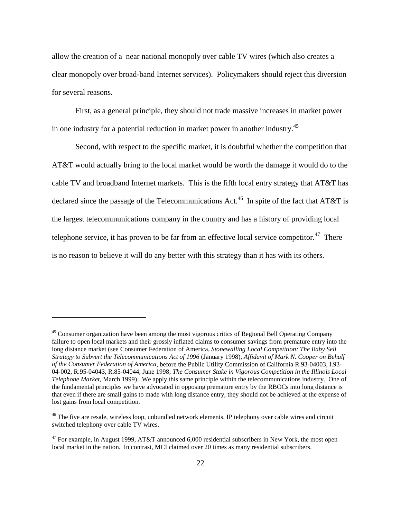allow the creation of a near national monopoly over cable TV wires (which also creates a clear monopoly over broad-band Internet services). Policymakers should reject this diversion for several reasons.

First, as a general principle, they should not trade massive increases in market power in one industry for a potential reduction in market power in another industry.<sup>45</sup>

Second, with respect to the specific market, it is doubtful whether the competition that AT&T would actually bring to the local market would be worth the damage it would do to the cable TV and broadband Internet markets. This is the fifth local entry strategy that AT&T has declared since the passage of the Telecommunications Act.<sup>46</sup> In spite of the fact that AT&T is the largest telecommunications company in the country and has a history of providing local telephone service, it has proven to be far from an effective local service competitor.<sup>47</sup> There is no reason to believe it will do any better with this strategy than it has with its others.

<sup>&</sup>lt;sup>45</sup> Consumer organization have been among the most vigorous critics of Regional Bell Operating Company failure to open local markets and their grossly inflated claims to consumer savings from premature entry into the long distance market (see Consumer Federation of America, *Stonewalling Local Competition: The Baby Sell Strategy to Subvert the Telecommunications Act of 1996* (January 1998), *Affidavit of Mark N. Cooper on Behalf of the Consumer Federation of America*, before the Public Utility Commission of California R.93-04003, I.93- 04-002, R.95-04043, R.85-04044, June 1998; *The Consumer Stake in Vigorous Competition in the Illinois Local Telephone Market*, March 1999). We apply this same principle within the telecommunications industry. One of the fundamental principles we have advocated in opposing premature entry by the RBOCs into long distance is that even if there are small gains to made with long distance entry, they should not be achieved at the expense of lost gains from local competition.

<sup>&</sup>lt;sup>46</sup> The five are resale, wireless loop, unbundled network elements, IP telephony over cable wires and circuit switched telephony over cable TV wires.

<sup>&</sup>lt;sup>47</sup> For example, in August 1999, AT&T announced 6,000 residential subscribers in New York, the most open local market in the nation. In contrast, MCI claimed over 20 times as many residential subscribers.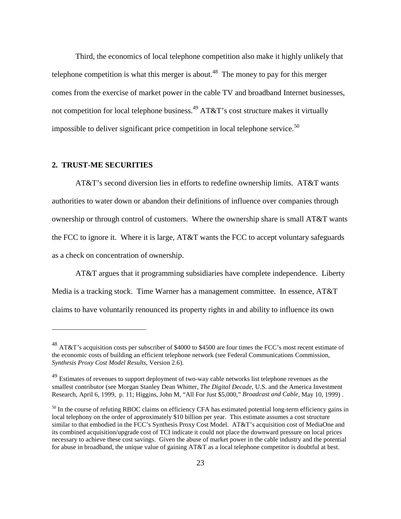Third, the economics of local telephone competition also make it highly unlikely that telephone competition is what this merger is about.<sup>48</sup> The money to pay for this merger comes from the exercise of market power in the cable TV and broadband Internet businesses, not competition for local telephone business.<sup>49</sup> AT&T's cost structure makes it virtually impossible to deliver significant price competition in local telephone service.<sup>50</sup>

#### **2. TRUST-ME SECURITIES**

 $\overline{a}$ 

AT&T's second diversion lies in efforts to redefine ownership limits. AT&T wants authorities to water down or abandon their definitions of influence over companies through ownership or through control of customers. Where the ownership share is small AT&T wants the FCC to ignore it. Where it is large, AT&T wants the FCC to accept voluntary safeguards as a check on concentration of ownership.

AT&T argues that it programming subsidiaries have complete independence. Liberty Media is a tracking stock. Time Warner has a management committee. In essence, AT&T claims to have voluntarily renounced its property rights in and ability to influence its own

<sup>48</sup> AT&T's acquisition costs per subscriber of \$4000 to \$4500 are four times the FCC's most recent estimate of the economic costs of building an efficient telephone network (see Federal Communications Commission, *Synthesis Proxy Cost Model Results*, Version 2.6).

<sup>&</sup>lt;sup>49</sup> Estimates of revenues to support deployment of two-way cable networks list telephone revenues as the smallest contributor (see Morgan Stanley Dean Whitter, *The Digital Decade*, U.S. and the America Investment Research, April 6, 1999, p. 11; Higgins, John M, "All For Just \$5,000," *Broadcast and Cable*, May 10, 1999) .

<sup>&</sup>lt;sup>50</sup> In the course of refuting RBOC claims on efficiency CFA has estimated potential long-term efficiency gains in local telephony on the order of approximately \$10 billion per year. This estimate assumes a cost structure similar to that embodied in the FCC's Synthesis Proxy Cost Model. AT&T's acquisition cost of MediaOne and its combined acquisition/upgrade cost of TCI indicate it could not place the downward pressure on local prices necessary to achieve these cost savings. Given the abuse of market power in the cable industry and the potential for abuse in broadband, the unique value of gaining AT&T as a local telephone competitor is doubtful at best.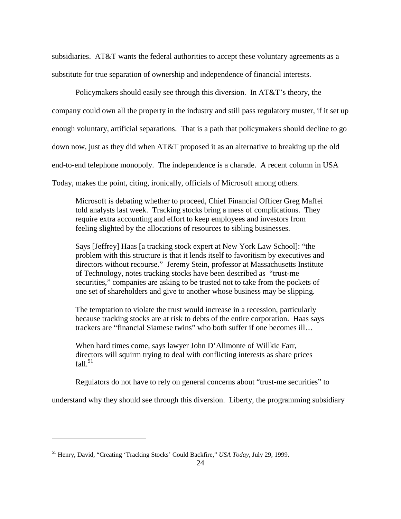subsidiaries. AT&T wants the federal authorities to accept these voluntary agreements as a substitute for true separation of ownership and independence of financial interests.

Policymakers should easily see through this diversion. In AT&T's theory, the company could own all the property in the industry and still pass regulatory muster, if it set up enough voluntary, artificial separations. That is a path that policymakers should decline to go down now, just as they did when AT&T proposed it as an alternative to breaking up the old end-to-end telephone monopoly. The independence is a charade. A recent column in USA Today, makes the point, citing, ironically, officials of Microsoft among others.

Microsoft is debating whether to proceed, Chief Financial Officer Greg Maffei told analysts last week. Tracking stocks bring a mess of complications. They require extra accounting and effort to keep employees and investors from feeling slighted by the allocations of resources to sibling businesses.

Says [Jeffrey] Haas [a tracking stock expert at New York Law School]: "the problem with this structure is that it lends itself to favoritism by executives and directors without recourse." Jeremy Stein, professor at Massachusetts Institute of Technology, notes tracking stocks have been described as "trust-me securities," companies are asking to be trusted not to take from the pockets of one set of shareholders and give to another whose business may be slipping.

The temptation to violate the trust would increase in a recession, particularly because tracking stocks are at risk to debts of the entire corporation. Haas says trackers are "financial Siamese twins" who both suffer if one becomes ill…

When hard times come, says lawyer John D'Alimonte of Willkie Farr, directors will squirm trying to deal with conflicting interests as share prices fall. $51$ 

Regulators do not have to rely on general concerns about "trust-me securities" to

understand why they should see through this diversion. Liberty, the programming subsidiary

<sup>51</sup> Henry, David, "Creating 'Tracking Stocks' Could Backfire," *USA Today*, July 29, 1999.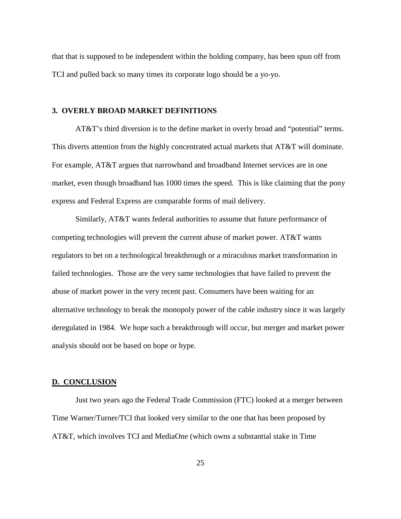that that is supposed to be independent within the holding company, has been spun off from TCI and pulled back so many times its corporate logo should be a yo-yo.

#### **3. OVERLY BROAD MARKET DEFINITIONS**

AT&T's third diversion is to the define market in overly broad and "potential" terms. This diverts attention from the highly concentrated actual markets that AT&T will dominate. For example, AT&T argues that narrowband and broadband Internet services are in one market, even though broadband has 1000 times the speed. This is like claiming that the pony express and Federal Express are comparable forms of mail delivery.

Similarly, AT&T wants federal authorities to assume that future performance of competing technologies will prevent the current abuse of market power. AT&T wants regulators to bet on a technological breakthrough or a miraculous market transformation in failed technologies. Those are the very same technologies that have failed to prevent the abuse of market power in the very recent past. Consumers have been waiting for an alternative technology to break the monopoly power of the cable industry since it was largely deregulated in 1984. We hope such a breakthrough will occur, but merger and market power analysis should not be based on hope or hype.

#### **D. CONCLUSION**

Just two years ago the Federal Trade Commission (FTC) looked at a merger between Time Warner/Turner/TCI that looked very similar to the one that has been proposed by AT&T, which involves TCI and MediaOne (which owns a substantial stake in Time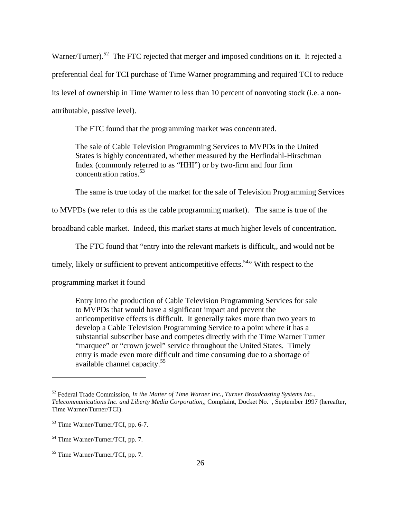Warner/Turner).<sup>52</sup> The FTC rejected that merger and imposed conditions on it. It rejected a preferential deal for TCI purchase of Time Warner programming and required TCI to reduce its level of ownership in Time Warner to less than 10 percent of nonvoting stock (i.e. a nonattributable, passive level).

The FTC found that the programming market was concentrated.

The sale of Cable Television Programming Services to MVPDs in the United States is highly concentrated, whether measured by the Herfindahl-Hirschman Index (commonly referred to as "HHI") or by two-firm and four firm concentration ratios.<sup>53</sup>

The same is true today of the market for the sale of Television Programming Services

to MVPDs (we refer to this as the cable programming market). The same is true of the

broadband cable market. Indeed, this market starts at much higher levels of concentration.

The FTC found that "entry into the relevant markets is difficult,, and would not be

timely, likely or sufficient to prevent anticompetitive effects.<sup>54</sup> With respect to the

programming market it found

Entry into the production of Cable Television Programming Services for sale to MVPDs that would have a significant impact and prevent the anticompetitive effects is difficult. It generally takes more than two years to develop a Cable Television Programming Service to a point where it has a substantial subscriber base and competes directly with the Time Warner Turner "marquee" or "crown jewel" service throughout the United States. Timely entry is made even more difficult and time consuming due to a shortage of available channel capacity.<sup>55</sup>

<sup>52</sup> Federal Trade Commission, *In the Matter of Time Warner Inc., Turner Broadcasting Systems Inc., Telecommunications Inc. and Liberty Media Corporation,,* Complaint, Docket No. , September 1997 (hereafter, Time Warner/Turner/TCI).

<sup>53</sup> Time Warner/Turner/TCI, pp. 6-7.

<sup>54</sup> Time Warner/Turner/TCI, pp. 7.

<sup>55</sup> Time Warner/Turner/TCI, pp. 7.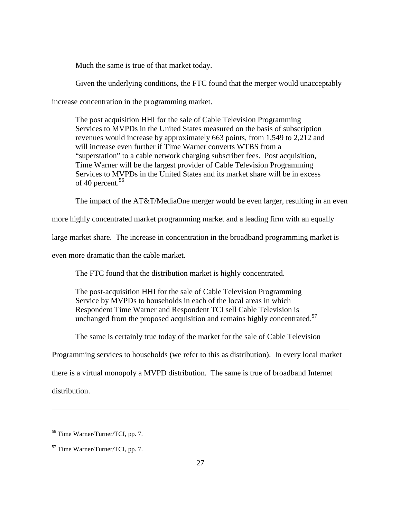Much the same is true of that market today.

Given the underlying conditions, the FTC found that the merger would unacceptably

increase concentration in the programming market.

The post acquisition HHI for the sale of Cable Television Programming Services to MVPDs in the United States measured on the basis of subscription revenues would increase by approximately 663 points, from 1,549 to 2,212 and will increase even further if Time Warner converts WTBS from a "superstation" to a cable network charging subscriber fees. Post acquisition, Time Warner will be the largest provider of Cable Television Programming Services to MVPDs in the United States and its market share will be in excess of 40 percent. $56$ 

The impact of the AT&T/MediaOne merger would be even larger, resulting in an even

more highly concentrated market programming market and a leading firm with an equally

large market share. The increase in concentration in the broadband programming market is

even more dramatic than the cable market.

The FTC found that the distribution market is highly concentrated.

The post-acquisition HHI for the sale of Cable Television Programming Service by MVPDs to households in each of the local areas in which Respondent Time Warner and Respondent TCI sell Cable Television is unchanged from the proposed acquisition and remains highly concentrated.<sup>57</sup>

The same is certainly true today of the market for the sale of Cable Television

Programming services to households (we refer to this as distribution). In every local market

there is a virtual monopoly a MVPD distribution. The same is true of broadband Internet

distribution.

<sup>56</sup> Time Warner/Turner/TCI, pp. 7.

<sup>57</sup> Time Warner/Turner/TCI, pp. 7.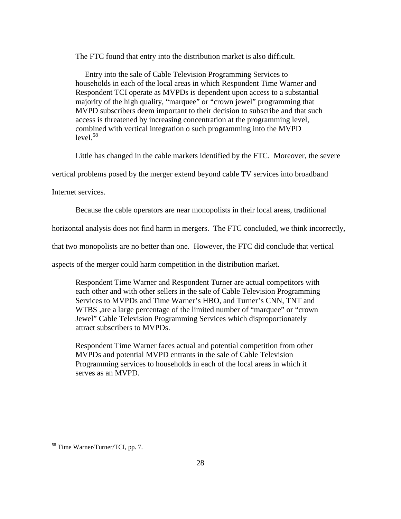The FTC found that entry into the distribution market is also difficult.

Entry into the sale of Cable Television Programming Services to households in each of the local areas in which Respondent Time Warner and Respondent TCI operate as MVPDs is dependent upon access to a substantial majority of the high quality, "marquee" or "crown jewel" programming that MVPD subscribers deem important to their decision to subscribe and that such access is threatened by increasing concentration at the programming level, combined with vertical integration o such programming into the MVPD  $level.<sup>58</sup>$ 

Little has changed in the cable markets identified by the FTC. Moreover, the severe

vertical problems posed by the merger extend beyond cable TV services into broadband

Internet services.

Because the cable operators are near monopolists in their local areas, traditional

horizontal analysis does not find harm in mergers. The FTC concluded, we think incorrectly,

that two monopolists are no better than one. However, the FTC did conclude that vertical

aspects of the merger could harm competition in the distribution market.

Respondent Time Warner and Respondent Turner are actual competitors with each other and with other sellers in the sale of Cable Television Programming Services to MVPDs and Time Warner's HBO, and Turner's CNN, TNT and WTBS ,are a large percentage of the limited number of "marquee" or "crown Jewel" Cable Television Programming Services which disproportionately attract subscribers to MVPDs.

Respondent Time Warner faces actual and potential competition from other MVPDs and potential MVPD entrants in the sale of Cable Television Programming services to households in each of the local areas in which it serves as an MVPD.

<sup>58</sup> Time Warner/Turner/TCI, pp. 7.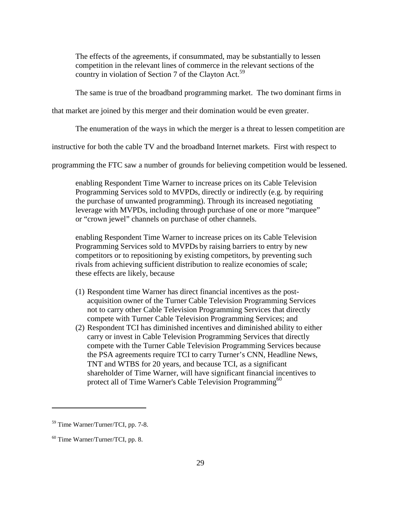The effects of the agreements, if consummated, may be substantially to lessen competition in the relevant lines of commerce in the relevant sections of the country in violation of Section 7 of the Clayton Act.<sup>59</sup>

The same is true of the broadband programming market. The two dominant firms in

that market are joined by this merger and their domination would be even greater.

The enumeration of the ways in which the merger is a threat to lessen competition are

instructive for both the cable TV and the broadband Internet markets. First with respect to

programming the FTC saw a number of grounds for believing competition would be lessened.

enabling Respondent Time Warner to increase prices on its Cable Television Programming Services sold to MVPDs, directly or indirectly (e.g. by requiring the purchase of unwanted programming). Through its increased negotiating leverage with MVPDs, including through purchase of one or more "marquee" or "crown jewel" channels on purchase of other channels.

enabling Respondent Time Warner to increase prices on its Cable Television Programming Services sold to MVPDs by raising barriers to entry by new competitors or to repositioning by existing competitors, by preventing such rivals from achieving sufficient distribution to realize economies of scale; these effects are likely, because

- (1) Respondent time Warner has direct financial incentives as the postacquisition owner of the Turner Cable Television Programming Services not to carry other Cable Television Programming Services that directly compete with Turner Cable Television Programming Services; and
- (2) Respondent TCI has diminished incentives and diminished ability to either carry or invest in Cable Television Programming Services that directly compete with the Turner Cable Television Programming Services because the PSA agreements require TCI to carry Turner's CNN, Headline News, TNT and WTBS for 20 years, and because TCI, as a significant shareholder of Time Warner, will have significant financial incentives to protect all of Time Warner's Cable Television Programming<sup>60</sup>

<sup>59</sup> Time Warner/Turner/TCI, pp. 7-8.

 $60$  Time Warner/Turner/TCI, pp. 8.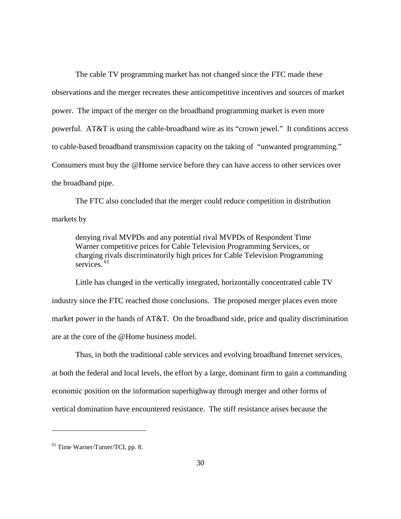The cable TV programming market has not changed since the FTC made these observations and the merger recreates these anticompetitive incentives and sources of market power. The impact of the merger on the broadband programming market is even more powerful. AT&T is using the cable-broadband wire as its "crown jewel." It conditions access to cable-based broadband transmission capacity on the taking of "unwanted programming." Consumers must buy the @Home service before they can have access to other services over the broadband pipe.

The FTC also concluded that the merger could reduce competition in distribution markets by

denying rival MVPDs and any potential rival MVPDs of Respondent Time Warner competitive prices for Cable Television Programming Services, or charging rivals discriminatorily high prices for Cable Television Programming services.  $61$ 

Little has changed in the vertically integrated, horizontally concentrated cable TV industry since the FTC reached those conclusions. The proposed merger places even more market power in the hands of  $AT&T$ . On the broadband side, price and quality discrimination are at the core of the @Home business model.

Thus, in both the traditional cable services and evolving broadband Internet services, at both the federal and local levels, the effort by a large, dominant firm to gain a commanding economic position on the information superhighway through merger and other forms of vertical domination have encountered resistance. The stiff resistance arises because the

<sup>61</sup> Time Warner/Turner/TCI, pp. 8.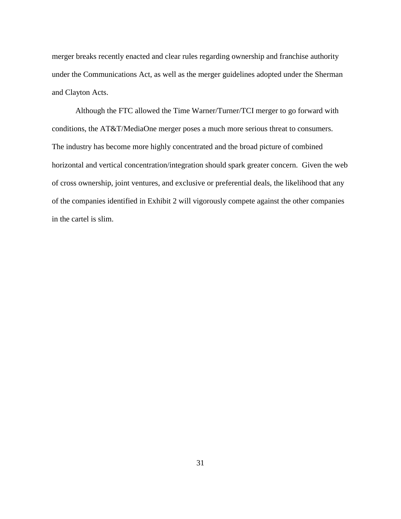merger breaks recently enacted and clear rules regarding ownership and franchise authority under the Communications Act, as well as the merger guidelines adopted under the Sherman and Clayton Acts.

Although the FTC allowed the Time Warner/Turner/TCI merger to go forward with conditions, the AT&T/MediaOne merger poses a much more serious threat to consumers. The industry has become more highly concentrated and the broad picture of combined horizontal and vertical concentration/integration should spark greater concern. Given the web of cross ownership, joint ventures, and exclusive or preferential deals, the likelihood that any of the companies identified in Exhibit 2 will vigorously compete against the other companies in the cartel is slim.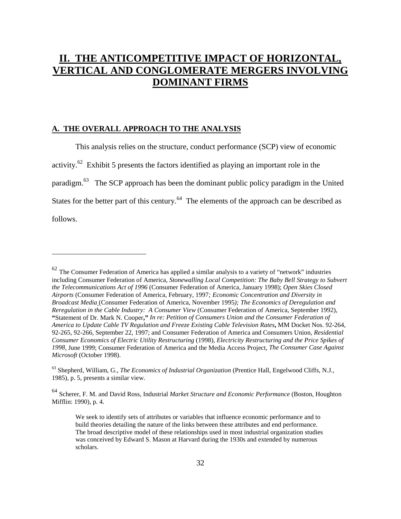# **II. THE ANTICOMPETITIVE IMPACT OF HORIZONTAL, VERTICAL AND CONGLOMERATE MERGERS INVOLVING DOMINANT FIRMS**

## **A. THE OVERALL APPROACH TO THE ANALYSIS**

 $\overline{a}$ 

This analysis relies on the structure, conduct performance (SCP) view of economic activity.<sup>62</sup> Exhibit 5 presents the factors identified as playing an important role in the paradigm.63 The SCP approach has been the dominant public policy paradigm in the United States for the better part of this century.<sup>64</sup> The elements of the approach can be described as follows.

 $62$  The Consumer Federation of America has applied a similar analysis to a variety of "network" industries including Consumer Federation of America*, Stonewalling Local Competition: The Baby Bell Strategy to Subvert the Telecommunications Act of 1996* (Consumer Federation of America, January 1998); *Open Skies Closed Airports* (Consumer Federation of America, February, 1997*; Economic Concentration and Diversity in Broadcast Media* (Consumer Federation of America, November 1995*); The Economics of Deregulation and Reregulation in the Cable Industry: A Consumer View* (Consumer Federation of America, September 1992), **"**Statement of Dr. Mark N. Cooper**,"** *In re: Petition of Consumers Union and the Consumer Federation of America to Update Cable TV Regulation and Freeze Existing Cable Television Rates***,** MM Docket Nos. 92-264, 92-265, 92-266, September 22, 1997; and Consumer Federation of America and Consumers Union*, Residential Consumer Economics of Electric Utility Restructuring* (1998), *Electricity Restructuring and the Price Spikes of 1998*, June 1999; Consumer Federation of America and the Media Access Project, *The Consumer Case Against Microsoft* (October 1998).

<sup>63</sup> Shepherd, William, G., *The Economics of Industrial Organization* (Prentice Hall, Engelwood Cliffs, N.J., 1985), p. 5, presents a similar view.

<sup>64</sup> Scherer, F. M. and David Ross, Industrial *Market Structure and Economic Performance* (Boston, Houghton Mifflin: 1990), p. 4.

We seek to identify sets of attributes or variables that influence economic performance and to build theories detailing the nature of the links between these attributes and end performance. The broad descriptive model of these relationships used in most industrial organization studies was conceived by Edward S. Mason at Harvard during the 1930s and extended by numerous scholars.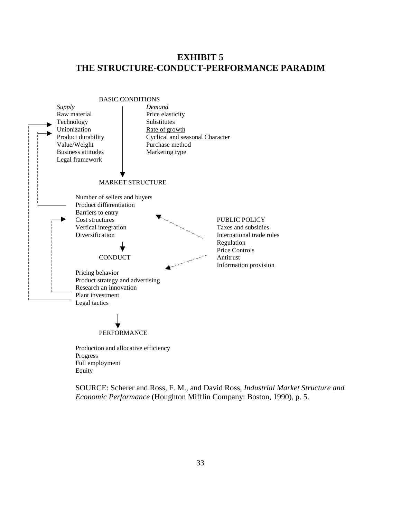# **EXHIBIT 5 THE STRUCTURE-CONDUCT-PERFORMANCE PARADIM**



Progress Full employment Equity

SOURCE: Scherer and Ross, F. M., and David Ross, *Industrial Market Structure and Economic Performance* (Houghton Mifflin Company: Boston, 1990), p. 5.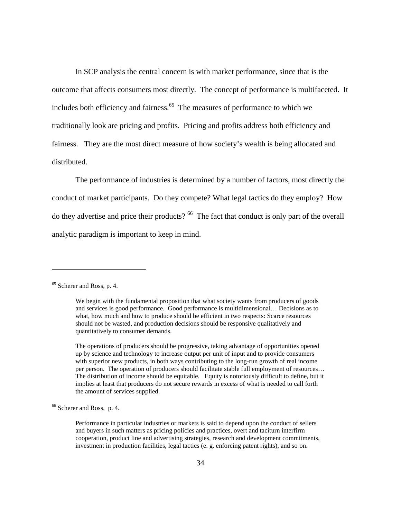In SCP analysis the central concern is with market performance, since that is the outcome that affects consumers most directly. The concept of performance is multifaceted. It includes both efficiency and fairness.<sup>65</sup> The measures of performance to which we traditionally look are pricing and profits. Pricing and profits address both efficiency and fairness. They are the most direct measure of how society's wealth is being allocated and distributed.

The performance of industries is determined by a number of factors, most directly the conduct of market participants. Do they compete? What legal tactics do they employ? How do they advertise and price their products? <sup>66</sup> The fact that conduct is only part of the overall analytic paradigm is important to keep in mind.

 $\overline{a}$ 

The operations of producers should be progressive, taking advantage of opportunities opened up by science and technology to increase output per unit of input and to provide consumers with superior new products, in both ways contributing to the long-run growth of real income per person. The operation of producers should facilitate stable full employment of resources… The distribution of income should be equitable. Equity is notoriously difficult to define, but it implies at least that producers do not secure rewards in excess of what is needed to call forth the amount of services supplied.

66 Scherer and Ross, p. 4.

Performance in particular industries or markets is said to depend upon the conduct of sellers and buyers in such matters as pricing policies and practices, overt and taciturn interfirm cooperation, product line and advertising strategies, research and development commitments, investment in production facilities, legal tactics (e. g. enforcing patent rights), and so on.

<sup>65</sup> Scherer and Ross, p. 4.

We begin with the fundamental proposition that what society wants from producers of goods and services is good performance. Good performance is multidimensional… Decisions as to what, how much and how to produce should be efficient in two respects: Scarce resources should not be wasted, and production decisions should be responsive qualitatively and quantitatively to consumer demands.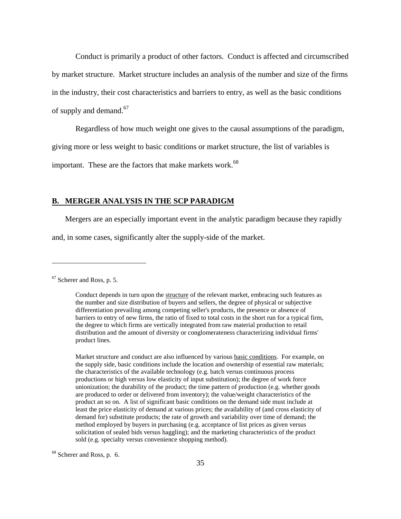Conduct is primarily a product of other factors. Conduct is affected and circumscribed by market structure. Market structure includes an analysis of the number and size of the firms in the industry, their cost characteristics and barriers to entry, as well as the basic conditions of supply and demand.<sup>67</sup>

Regardless of how much weight one gives to the causal assumptions of the paradigm,

giving more or less weight to basic conditions or market structure, the list of variables is

important. These are the factors that make markets work.<sup>68</sup>

#### **B. MERGER ANALYSIS IN THE SCP PARADIGM**

Mergers are an especially important event in the analytic paradigm because they rapidly

and, in some cases, significantly alter the supply-side of the market.

 $\overline{a}$ 

Market structure and conduct are also influenced by various basic conditions. For example, on the supply side, basic conditions include the location and ownership of essential raw materials; the characteristics of the available technology (e.g. batch versus continuous process productions or high versus low elasticity of input substitution); the degree of work force unionization; the durability of the product; the time pattern of production (e.g. whether goods are produced to order or delivered from inventory); the value/weight characteristics of the product an so on. A list of significant basic conditions on the demand side must include at least the price elasticity of demand at various prices; the availability of (and cross elasticity of demand for) substitute products; the rate of growth and variability over time of demand; the method employed by buyers in purchasing (e.g. acceptance of list prices as given versus solicitation of sealed bids versus haggling); and the marketing characteristics of the product sold (e.g. specialty versus convenience shopping method).

68 Scherer and Ross, p. 6.

<sup>67</sup> Scherer and Ross, p. 5.

Conduct depends in turn upon the structure of the relevant market, embracing such features as the number and size distribution of buyers and sellers, the degree of physical or subjective differentiation prevailing among competing seller's products, the presence or absence of barriers to entry of new firms, the ratio of fixed to total costs in the short run for a typical firm, the degree to which firms are vertically integrated from raw material production to retail distribution and the amount of diversity or conglomerateness characterizing individual firms' product lines.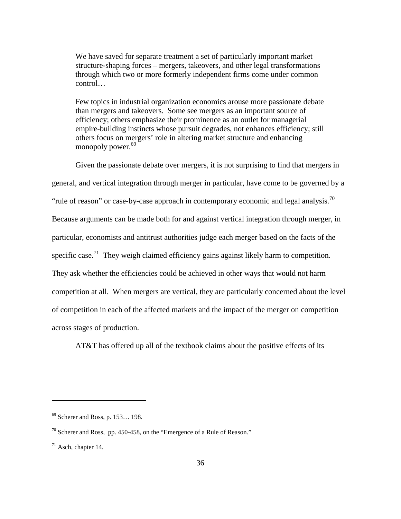We have saved for separate treatment a set of particularly important market structure-shaping forces – mergers, takeovers, and other legal transformations through which two or more formerly independent firms come under common control…

Few topics in industrial organization economics arouse more passionate debate than mergers and takeovers. Some see mergers as an important source of efficiency; others emphasize their prominence as an outlet for managerial empire-building instincts whose pursuit degrades, not enhances efficiency; still others focus on mergers' role in altering market structure and enhancing monopoly power.<sup>69</sup>

Given the passionate debate over mergers, it is not surprising to find that mergers in general, and vertical integration through merger in particular, have come to be governed by a "rule of reason" or case-by-case approach in contemporary economic and legal analysis.<sup>70</sup> Because arguments can be made both for and against vertical integration through merger, in particular, economists and antitrust authorities judge each merger based on the facts of the specific case.<sup>71</sup> They weigh claimed efficiency gains against likely harm to competition. They ask whether the efficiencies could be achieved in other ways that would not harm competition at all. When mergers are vertical, they are particularly concerned about the level of competition in each of the affected markets and the impact of the merger on competition across stages of production.

AT&T has offered up all of the textbook claims about the positive effects of its

<sup>69</sup> Scherer and Ross, p. 153… 198.

 $70$  Scherer and Ross, pp. 450-458, on the "Emergence of a Rule of Reason."

 $71$  Asch, chapter 14.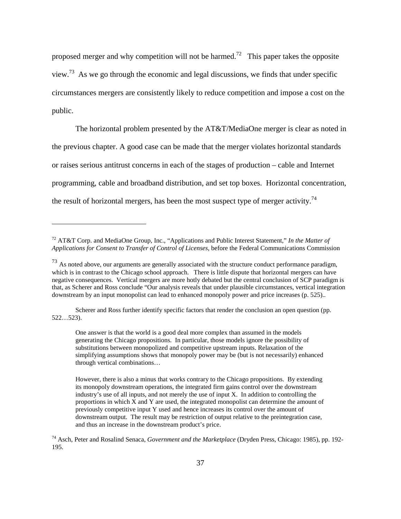proposed merger and why competition will not be harmed.<sup>72</sup> This paper takes the opposite view.<sup>73</sup> As we go through the economic and legal discussions, we finds that under specific circumstances mergers are consistently likely to reduce competition and impose a cost on the public.

The horizontal problem presented by the AT&T/MediaOne merger is clear as noted in the previous chapter. A good case can be made that the merger violates horizontal standards or raises serious antitrust concerns in each of the stages of production – cable and Internet programming, cable and broadband distribution, and set top boxes. Horizontal concentration, the result of horizontal mergers, has been the most suspect type of merger activity.<sup>74</sup>

 $\overline{a}$ 

Scherer and Ross further identify specific factors that render the conclusion an open question (pp. 522…523).

One answer is that the world is a good deal more complex than assumed in the models generating the Chicago propositions. In particular, those models ignore the possibility of substitutions between monopolized and competitive upstream inputs. Relaxation of the simplifying assumptions shows that monopoly power may be (but is not necessarily) enhanced through vertical combinations…

<sup>72</sup> AT&T Corp. and MediaOne Group, Inc., "Applications and Public Interest Statement," *In the Matter of Applications for Consent to Transfer of Control of Licenses*, before the Federal Communications Commission

 $^{73}$  As noted above, our arguments are generally associated with the structure conduct performance paradigm, which is in contrast to the Chicago school approach. There is little dispute that horizontal mergers can have negative consequences. Vertical mergers are more hotly debated but the central conclusion of SCP paradigm is that, as Scherer and Ross conclude "Our analysis reveals that under plausible circumstances, vertical integration downstream by an input monopolist can lead to enhanced monopoly power and price increases (p. 525)..

However, there is also a minus that works contrary to the Chicago propositions. By extending its monopoly downstream operations, the integrated firm gains control over the downstream industry's use of all inputs, and not merely the use of input X. In addition to controlling the proportions in which X and Y are used, the integrated monopolist can determine the amount of previously competitive input Y used and hence increases its control over the amount of downstream output. The result may be restriction of output relative to the preintegration case, and thus an increase in the downstream product's price.

<sup>74</sup> Asch, Peter and Rosalind Senaca, *Government and the Marketplace* (Dryden Press, Chicago: 1985), pp. 192- 195.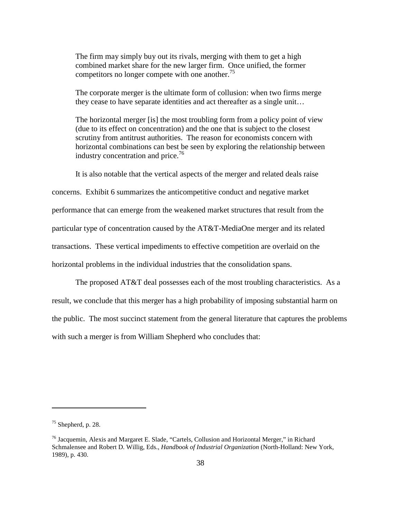The firm may simply buy out its rivals, merging with them to get a high combined market share for the new larger firm. Once unified, the former competitors no longer compete with one another.<sup>75</sup>

The corporate merger is the ultimate form of collusion: when two firms merge they cease to have separate identities and act thereafter as a single unit…

The horizontal merger [is] the most troubling form from a policy point of view (due to its effect on concentration) and the one that is subject to the closest scrutiny from antitrust authorities. The reason for economists concern with horizontal combinations can best be seen by exploring the relationship between industry concentration and price.<sup>76</sup>

It is also notable that the vertical aspects of the merger and related deals raise

concerns. Exhibit 6 summarizes the anticompetitive conduct and negative market performance that can emerge from the weakened market structures that result from the particular type of concentration caused by the AT&T-MediaOne merger and its related transactions. These vertical impediments to effective competition are overlaid on the horizontal problems in the individual industries that the consolidation spans.

The proposed AT&T deal possesses each of the most troubling characteristics. As a result, we conclude that this merger has a high probability of imposing substantial harm on the public. The most succinct statement from the general literature that captures the problems with such a merger is from William Shepherd who concludes that:

 $75$  Shepherd, p. 28.

<sup>&</sup>lt;sup>76</sup> Jacquemin, Alexis and Margaret E. Slade, "Cartels, Collusion and Horizontal Merger," in Richard Schmalensee and Robert D. Willig, Eds., *Handbook of Industrial Organization* (North-Holland: New York, 1989), p. 430.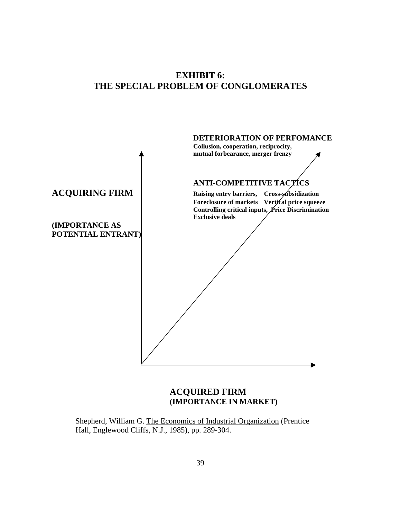# **EXHIBIT 6: THE SPECIAL PROBLEM OF CONGLOMERATES**



## **ACQUIRED FIRM (IMPORTANCE IN MARKET)**

Shepherd, William G. The Economics of Industrial Organization (Prentice Hall, Englewood Cliffs, N.J., 1985), pp. 289-304.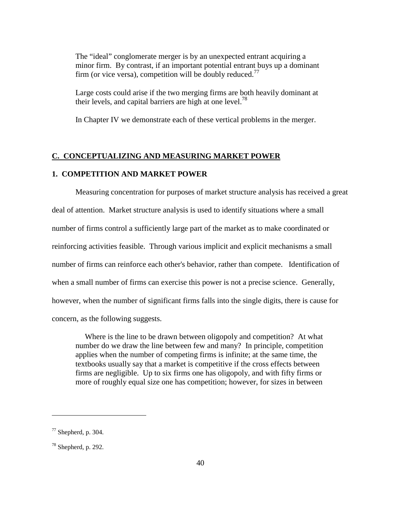The "ideal" conglomerate merger is by an unexpected entrant acquiring a minor firm. By contrast, if an important potential entrant buys up a dominant firm (or vice versa), competition will be doubly reduced.<sup>77</sup>

Large costs could arise if the two merging firms are both heavily dominant at their levels, and capital barriers are high at one level.<sup>78</sup>

In Chapter IV we demonstrate each of these vertical problems in the merger.

#### **C. CONCEPTUALIZING AND MEASURING MARKET POWER**

## **1. COMPETITION AND MARKET POWER**

Measuring concentration for purposes of market structure analysis has received a great deal of attention. Market structure analysis is used to identify situations where a small number of firms control a sufficiently large part of the market as to make coordinated or reinforcing activities feasible. Through various implicit and explicit mechanisms a small number of firms can reinforce each other's behavior, rather than compete. Identification of when a small number of firms can exercise this power is not a precise science. Generally, however, when the number of significant firms falls into the single digits, there is cause for concern, as the following suggests.

Where is the line to be drawn between oligopoly and competition? At what number do we draw the line between few and many? In principle, competition applies when the number of competing firms is infinite; at the same time, the textbooks usually say that a market is competitive if the cross effects between firms are negligible. Up to six firms one has oligopoly, and with fifty firms or more of roughly equal size one has competition; however, for sizes in between

 $77$  Shepherd, p. 304.

<sup>78</sup> Shepherd, p. 292.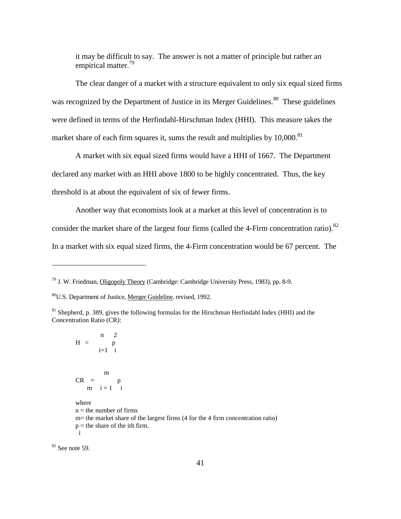it may be difficult to say. The answer is not a matter of principle but rather an empirical matter.<sup>79</sup>

The clear danger of a market with a structure equivalent to only six equal sized firms was recognized by the Department of Justice in its Merger Guidelines.<sup>80</sup> These guidelines were defined in terms of the Herfindahl-Hirschman Index (HHI). This measure takes the market share of each firm squares it, sums the result and multiplies by  $10,000$ .<sup>81</sup>

A market with six equal sized firms would have a HHI of 1667. The Department declared any market with an HHI above 1800 to be highly concentrated. Thus, the key threshold is at about the equivalent of six of fewer firms.

Another way that economists look at a market at this level of concentration is to consider the market share of the largest four firms (called the 4-Firm concentration ratio).<sup>82</sup> In a market with six equal sized firms, the 4-Firm concentration would be 67 percent. The

 $82$  See note 59.

<sup>79</sup> J. W. Friedman, Oligopoly Theory (Cambridge: Cambridge University Press, 1983), pp. 8-9.

<sup>80</sup>U.S. Department of Justice, Merger Guideline, revised, 1992.

<sup>&</sup>lt;sup>81</sup> Shepherd, p. 389, gives the following formulas for the Hirschman Herfindahl Index (HHI) and the Concentration Ratio (CR):

n 2  $H =$  p i=1 i m  $CR = p$ m  $i = 1$  i where  $n =$  the number of firms m= the market share of the largest firms (4 for the 4 firm concentration ratio)  $p =$  the share of the ith firm. i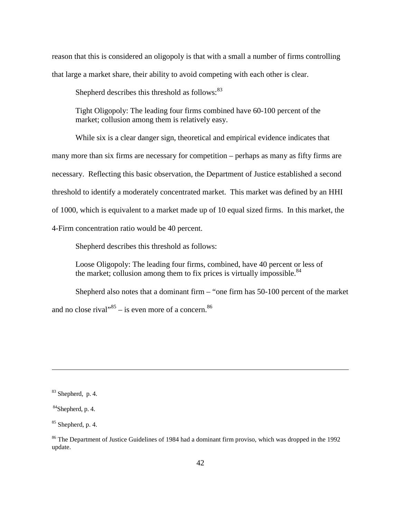reason that this is considered an oligopoly is that with a small a number of firms controlling that large a market share, their ability to avoid competing with each other is clear.

Shepherd describes this threshold as follows:<sup>83</sup>

Tight Oligopoly: The leading four firms combined have 60-100 percent of the market; collusion among them is relatively easy.

While six is a clear danger sign, theoretical and empirical evidence indicates that many more than six firms are necessary for competition – perhaps as many as fifty firms are necessary. Reflecting this basic observation, the Department of Justice established a second threshold to identify a moderately concentrated market. This market was defined by an HHI of 1000, which is equivalent to a market made up of 10 equal sized firms. In this market, the 4-Firm concentration ratio would be 40 percent.

Shepherd describes this threshold as follows:

Loose Oligopoly: The leading four firms, combined, have 40 percent or less of the market; collusion among them to fix prices is virtually impossible. $84$ 

Shepherd also notes that a dominant firm – "one firm has 50-100 percent of the market and no close rival $1.85 - 1$  is even more of a concern.<sup>86</sup>

<sup>83</sup> Shepherd, p. 4.

 $84$ Shepherd, p. 4.

 $85$  Shepherd, p. 4.

<sup>&</sup>lt;sup>86</sup> The Department of Justice Guidelines of 1984 had a dominant firm proviso, which was dropped in the 1992 update.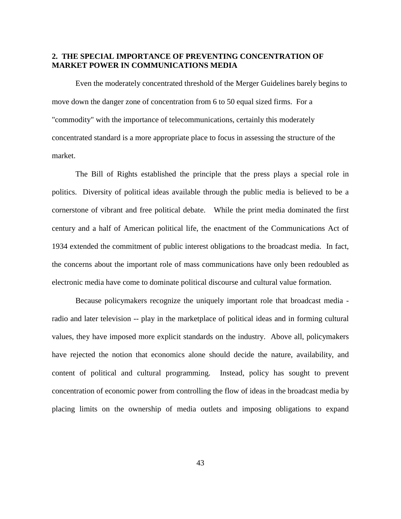## **2. THE SPECIAL IMPORTANCE OF PREVENTING CONCENTRATION OF MARKET POWER IN COMMUNICATIONS MEDIA**

Even the moderately concentrated threshold of the Merger Guidelines barely begins to move down the danger zone of concentration from 6 to 50 equal sized firms. For a "commodity" with the importance of telecommunications, certainly this moderately concentrated standard is a more appropriate place to focus in assessing the structure of the market.

The Bill of Rights established the principle that the press plays a special role in politics. Diversity of political ideas available through the public media is believed to be a cornerstone of vibrant and free political debate. While the print media dominated the first century and a half of American political life, the enactment of the Communications Act of 1934 extended the commitment of public interest obligations to the broadcast media. In fact, the concerns about the important role of mass communications have only been redoubled as electronic media have come to dominate political discourse and cultural value formation.

Because policymakers recognize the uniquely important role that broadcast media radio and later television -- play in the marketplace of political ideas and in forming cultural values, they have imposed more explicit standards on the industry. Above all, policymakers have rejected the notion that economics alone should decide the nature, availability, and content of political and cultural programming. Instead, policy has sought to prevent concentration of economic power from controlling the flow of ideas in the broadcast media by placing limits on the ownership of media outlets and imposing obligations to expand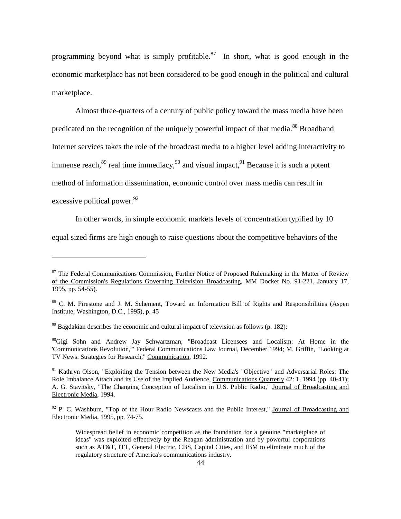programming beyond what is simply profitable.<sup>87</sup> In short, what is good enough in the economic marketplace has not been considered to be good enough in the political and cultural marketplace.

Almost three-quarters of a century of public policy toward the mass media have been predicated on the recognition of the uniquely powerful impact of that media.<sup>88</sup> Broadband Internet services takes the role of the broadcast media to a higher level adding interactivity to immense reach, $89$  real time immediacy, $90$  and visual impact, $91$  Because it is such a potent method of information dissemination, economic control over mass media can result in excessive political power.  $92$ 

In other words, in simple economic markets levels of concentration typified by 10

equal sized firms are high enough to raise questions about the competitive behaviors of the

 $\overline{a}$ 

<sup>90</sup>Gigi Sohn and Andrew Jay Schwartzman, "Broadcast Licensees and Localism: At Home in the 'Communications Revolution,'" Federal Communications Law Journal, December 1994; M. Griffin, "Looking at TV News: Strategies for Research," Communication, 1992.

<sup>91</sup> Kathryn Olson, "Exploiting the Tension between the New Media's "Objective" and Adversarial Roles: The Role Imbalance Attach and its Use of the Implied Audience, Communications Quarterly 42: 1, 1994 (pp. 40-41); A. G. Stavitsky, "The Changing Conception of Localism in U.S. Public Radio," Journal of Broadcasting and Electronic Media, 1994.

 $92$  P. C. Washburn, "Top of the Hour Radio Newscasts and the Public Interest," Journal of Broadcasting and Electronic Media, 1995, pp. 74-75.

Widespread belief in economic competition as the foundation for a genuine "marketplace of ideas" was exploited effectively by the Reagan administration and by powerful corporations such as AT&T, ITT, General Electric, CBS, Capital Cities, and IBM to eliminate much of the regulatory structure of America's communications industry.

<sup>&</sup>lt;sup>87</sup> The Federal Communications Commission, *Further Notice of Proposed Rulemaking in the Matter of Review* of the Commission's Regulations Governing Television Broadcasting, MM Docket No. 91-221, January 17, 1995, pp. 54-55).

<sup>88</sup> C. M. Firestone and J. M. Schement, Toward an Information Bill of Rights and Responsibilities (Aspen Institute, Washington, D.C., 1995), p. 45

 $89$  Bagdakian describes the economic and cultural impact of television as follows (p. 182):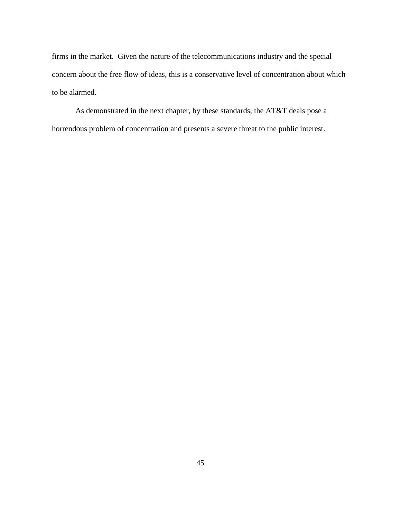firms in the market. Given the nature of the telecommunications industry and the special concern about the free flow of ideas, this is a conservative level of concentration about which to be alarmed.

As demonstrated in the next chapter, by these standards, the AT&T deals pose a horrendous problem of concentration and presents a severe threat to the public interest.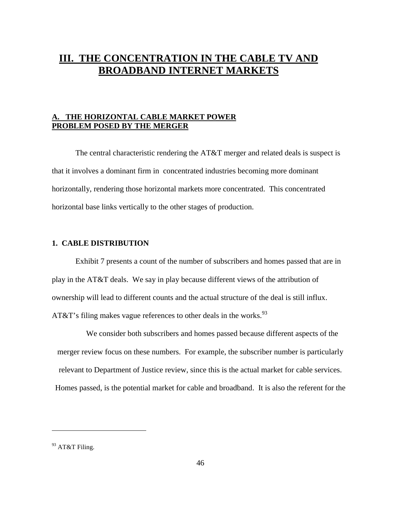# **III. THE CONCENTRATION IN THE CABLE TV AND BROADBAND INTERNET MARKETS**

## **A. THE HORIZONTAL CABLE MARKET POWER PROBLEM POSED BY THE MERGER**

The central characteristic rendering the AT&T merger and related deals is suspect is that it involves a dominant firm in concentrated industries becoming more dominant horizontally, rendering those horizontal markets more concentrated. This concentrated horizontal base links vertically to the other stages of production.

## **1. CABLE DISTRIBUTION**

Exhibit 7 presents a count of the number of subscribers and homes passed that are in play in the AT&T deals. We say in play because different views of the attribution of ownership will lead to different counts and the actual structure of the deal is still influx. AT&T's filing makes vague references to other deals in the works.  $93$ 

We consider both subscribers and homes passed because different aspects of the merger review focus on these numbers. For example, the subscriber number is particularly relevant to Department of Justice review, since this is the actual market for cable services. Homes passed, is the potential market for cable and broadband. It is also the referent for the

<sup>93</sup> AT&T Filing.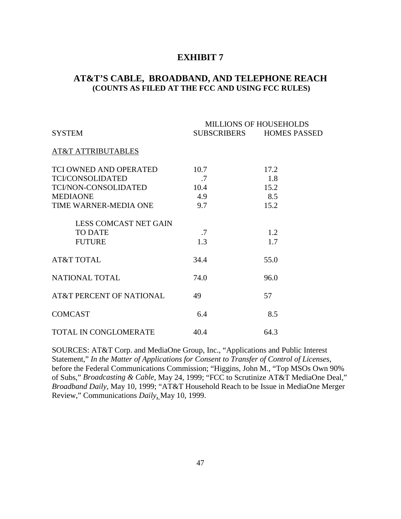## **EXHIBIT 7**

## **AT&T'S CABLE, BROADBAND, AND TELEPHONE REACH (COUNTS AS FILED AT THE FCC AND USING FCC RULES)**

|                               | <b>MILLIONS OF HOUSEHOLDS</b> |                          |  |
|-------------------------------|-------------------------------|--------------------------|--|
| <b>SYSTEM</b>                 |                               | SUBSCRIBERS HOMES PASSED |  |
| <b>AT&amp;T ATTRIBUTABLES</b> |                               |                          |  |
| TCI OWNED AND OPERATED        | 10.7                          | 17.2                     |  |
| <b>TCI/CONSOLIDATED</b>       | .7                            | 1.8                      |  |
| TCI/NON-CONSOLIDATED          | 10.4                          | 15.2                     |  |
| <b>MEDIAONE</b>               | 4.9                           | 8.5                      |  |
| TIME WARNER-MEDIA ONE         | 9.7                           | 15.2                     |  |
| <b>LESS COMCAST NET GAIN</b>  |                               |                          |  |
| <b>TO DATE</b>                | .7                            | 1.2                      |  |
| <b>FUTURE</b>                 | 1.3                           | 1.7                      |  |
| <b>AT&amp;T TOTAL</b>         | 34.4                          | 55.0                     |  |
| NATIONAL TOTAL                | 74.0                          | 96.0                     |  |
| AT&T PERCENT OF NATIONAL      | 49                            | 57                       |  |
| <b>COMCAST</b>                | 6.4                           | 8.5                      |  |
| TOTAL IN CONGLOMERATE         | 40.4                          | 64.3                     |  |

SOURCES: AT&T Corp. and MediaOne Group, Inc., "Applications and Public Interest Statement," *In the Matter of Applications for Consent to Transfer of Control of Licenses*, before the Federal Communications Commission; "Higgins, John M., "Top MSOs Own 90% of Subs," *Broadcasting & Cable*, May 24, 1999; "FCC to Scrutinize AT&T MediaOne Deal," *Broadband Daily*, May 10, 1999; "AT&T Household Reach to be Issue in MediaOne Merger Review," Communications *Daily*, May 10, 1999.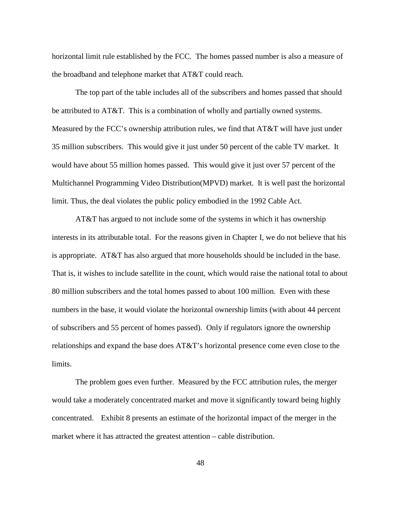horizontal limit rule established by the FCC. The homes passed number is also a measure of the broadband and telephone market that AT&T could reach.

The top part of the table includes all of the subscribers and homes passed that should be attributed to AT&T. This is a combination of wholly and partially owned systems. Measured by the FCC's ownership attribution rules, we find that AT&T will have just under 35 million subscribers. This would give it just under 50 percent of the cable TV market. It would have about 55 million homes passed. This would give it just over 57 percent of the Multichannel Programming Video Distribution(MPVD) market. It is well past the horizontal limit. Thus, the deal violates the public policy embodied in the 1992 Cable Act.

AT&T has argued to not include some of the systems in which it has ownership interests in its attributable total. For the reasons given in Chapter I, we do not believe that his is appropriate. AT&T has also argued that more households should be included in the base. That is, it wishes to include satellite in the count, which would raise the national total to about 80 million subscribers and the total homes passed to about 100 million. Even with these numbers in the base, it would violate the horizontal ownership limits (with about 44 percent of subscribers and 55 percent of homes passed). Only if regulators ignore the ownership relationships and expand the base does AT&T's horizontal presence come even close to the limits.

The problem goes even further. Measured by the FCC attribution rules, the merger would take a moderately concentrated market and move it significantly toward being highly concentrated. Exhibit 8 presents an estimate of the horizontal impact of the merger in the market where it has attracted the greatest attention – cable distribution.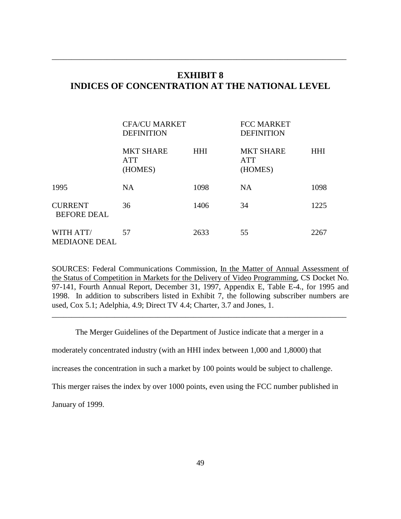# **EXHIBIT 8 INDICES OF CONCENTRATION AT THE NATIONAL LEVEL**

\_\_\_\_\_\_\_\_\_\_\_\_\_\_\_\_\_\_\_\_\_\_\_\_\_\_\_\_\_\_\_\_\_\_\_\_\_\_\_\_\_\_\_\_\_\_\_\_\_\_\_\_\_\_\_\_\_\_\_\_\_\_\_\_\_\_\_\_\_\_\_\_\_\_\_

|                                      | <b>CFA/CU MARKET</b><br><b>DEFINITION</b> |            | <b>FCC MARKET</b><br><b>DEFINITION</b>    |            |
|--------------------------------------|-------------------------------------------|------------|-------------------------------------------|------------|
|                                      | <b>MKT SHARE</b><br><b>ATT</b><br>(HOMES) | <b>HHI</b> | <b>MKT SHARE</b><br><b>ATT</b><br>(HOMES) | <b>HHI</b> |
| 1995                                 | <b>NA</b>                                 | 1098       | <b>NA</b>                                 | 1098       |
| <b>CURRENT</b><br><b>BEFORE DEAL</b> | 36                                        | 1406       | 34                                        | 1225       |
| WITH ATT/<br><b>MEDIAONE DEAL</b>    | 57                                        | 2633       | 55                                        | 2267       |

SOURCES: Federal Communications Commission, In the Matter of Annual Assessment of the Status of Competition in Markets for the Delivery of Video Programming, CS Docket No. 97-141, Fourth Annual Report, December 31, 1997, Appendix E, Table E-4., for 1995 and 1998. In addition to subscribers listed in Exhibit 7, the following subscriber numbers are used, Cox 5.1; Adelphia, 4.9; Direct TV 4.4; Charter, 3.7 and Jones, 1.

The Merger Guidelines of the Department of Justice indicate that a merger in a

\_\_\_\_\_\_\_\_\_\_\_\_\_\_\_\_\_\_\_\_\_\_\_\_\_\_\_\_\_\_\_\_\_\_\_\_\_\_\_\_\_\_\_\_\_\_\_\_\_\_\_\_\_\_\_\_\_\_\_\_\_\_\_\_\_\_\_\_\_\_\_\_\_\_\_

moderately concentrated industry (with an HHI index between 1,000 and 1,8000) that

increases the concentration in such a market by 100 points would be subject to challenge.

This merger raises the index by over 1000 points, even using the FCC number published in

January of 1999.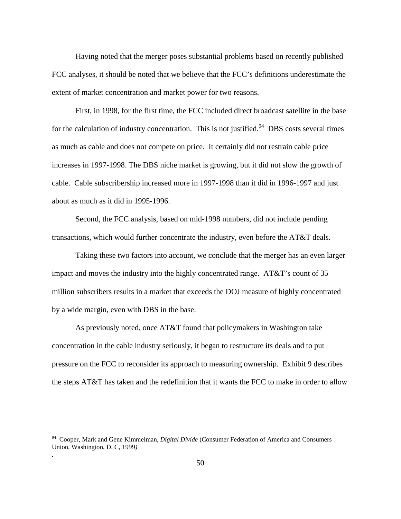Having noted that the merger poses substantial problems based on recently published FCC analyses, it should be noted that we believe that the FCC's definitions underestimate the extent of market concentration and market power for two reasons.

First, in 1998, for the first time, the FCC included direct broadcast satellite in the base for the calculation of industry concentration. This is not justified.<sup>94</sup> DBS costs several times as much as cable and does not compete on price. It certainly did not restrain cable price increases in 1997-1998. The DBS niche market is growing, but it did not slow the growth of cable. Cable subscribership increased more in 1997-1998 than it did in 1996-1997 and just about as much as it did in 1995-1996.

Second, the FCC analysis, based on mid-1998 numbers, did not include pending transactions, which would further concentrate the industry, even before the AT&T deals.

Taking these two factors into account, we conclude that the merger has an even larger impact and moves the industry into the highly concentrated range. AT&T's count of 35 million subscribers results in a market that exceeds the DOJ measure of highly concentrated by a wide margin, even with DBS in the base.

As previously noted, once AT&T found that policymakers in Washington take concentration in the cable industry seriously, it began to restructure its deals and to put pressure on the FCC to reconsider its approach to measuring ownership. Exhibit 9 describes the steps AT&T has taken and the redefinition that it wants the FCC to make in order to allow

 $\overline{a}$ 

*.*

<sup>94</sup> Cooper, Mark and Gene Kimmelman, *Digital Divide* (Consumer Federation of America and Consumers Union, Washington, D. C, 1999*)*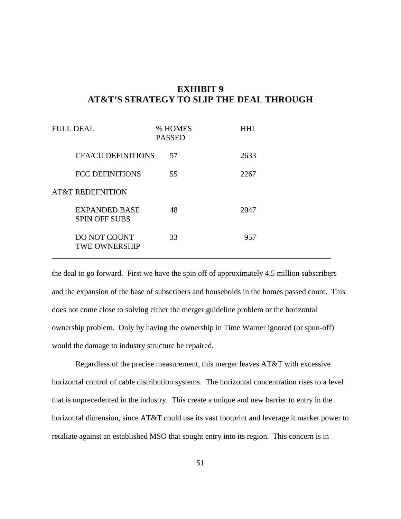# **EXHIBIT 9 AT&T'S STRATEGY TO SLIP THE DEAL THROUGH**

| <b>FULL DEAL</b> |                                              | <b>PASSED</b> | % HOMES | <b>HHI</b> |
|------------------|----------------------------------------------|---------------|---------|------------|
|                  | <b>CFA/CU DEFINITIONS</b>                    |               | 57      | 2633       |
|                  | <b>FCC DEFINITIONS</b>                       |               | 55      | 2267       |
|                  | <b>AT&amp;T REDEFNITION</b>                  |               |         |            |
|                  | <b>EXPANDED BASE</b><br><b>SPIN OFF SUBS</b> |               | 48      | 2047       |
|                  | <b>DO NOT COUNT</b><br><b>TWE OWNERSHIP</b>  |               | 33      | 957        |

the deal to go forward. First we have the spin off of approximately 4.5 million subscribers and the expansion of the base of subscribers and households in the homes passed count. This does not come close to solving either the merger guideline problem or the horizontal ownership problem. Only by having the ownership in Time Warner ignored (or spun-off) would the damage to industry structure be repaired.

Regardless of the precise measurement, this merger leaves AT&T with excessive horizontal control of cable distribution systems. The horizontal concentration rises to a level that is unprecedented in the industry. This create a unique and new barrier to entry in the horizontal dimension, since AT&T could use its vast footprint and leverage it market power to retaliate against an established MSO that sought entry into its region. This concern is in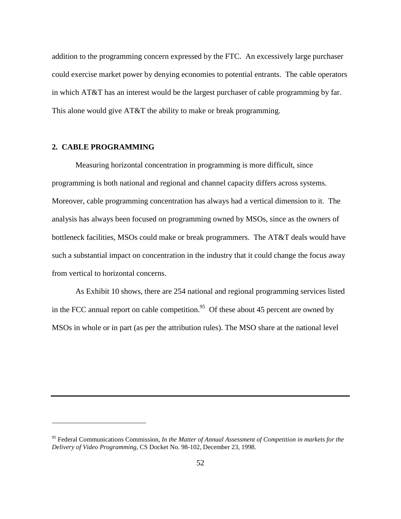addition to the programming concern expressed by the FTC. An excessively large purchaser could exercise market power by denying economies to potential entrants. The cable operators in which AT&T has an interest would be the largest purchaser of cable programming by far. This alone would give AT&T the ability to make or break programming.

## **2. CABLE PROGRAMMING**

 $\overline{a}$ 

Measuring horizontal concentration in programming is more difficult, since programming is both national and regional and channel capacity differs across systems. Moreover, cable programming concentration has always had a vertical dimension to it. The analysis has always been focused on programming owned by MSOs, since as the owners of bottleneck facilities, MSOs could make or break programmers. The AT&T deals would have such a substantial impact on concentration in the industry that it could change the focus away from vertical to horizontal concerns.

As Exhibit 10 shows, there are 254 national and regional programming services listed in the FCC annual report on cable competition.<sup>95</sup> Of these about 45 percent are owned by MSOs in whole or in part (as per the attribution rules). The MSO share at the national level

<sup>95</sup> Federal Communications Commission, *In the Matter of Annual Assessment of Competition in markets for the Delivery of Video Programming*, CS Docket No. 98-102, December 23, 1998.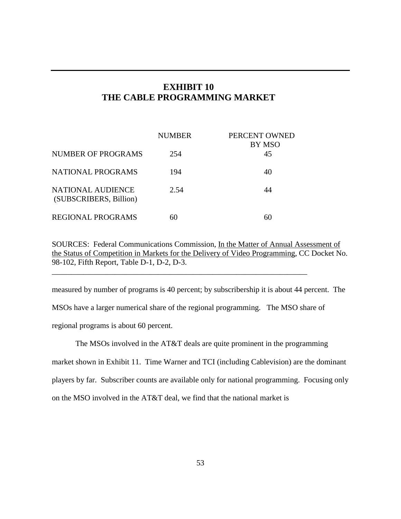# **EXHIBIT 10 THE CABLE PROGRAMMING MARKET**

|                                             | <b>NUMBER</b> | PERCENT OWNED<br>BY MSO |
|---------------------------------------------|---------------|-------------------------|
| NUMBER OF PROGRAMS                          | 254           | 45                      |
| <b>NATIONAL PROGRAMS</b>                    | 194           | 40                      |
| NATIONAL AUDIENCE<br>(SUBSCRIBERS, Billion) | 2.54          | 44                      |
| <b>REGIONAL PROGRAMS</b>                    |               | 60                      |

SOURCES: Federal Communications Commission, In the Matter of Annual Assessment of the Status of Competition in Markets for the Delivery of Video Programming, CC Docket No. 98-102, Fifth Report, Table D-1, D-2, D-3.

\_\_\_\_\_\_\_\_\_\_\_\_\_\_\_\_\_\_\_\_\_\_\_\_\_\_\_\_\_\_\_\_\_\_\_\_\_\_\_\_\_\_\_\_\_\_\_\_\_\_\_\_\_\_\_\_\_\_\_\_\_\_\_\_\_

measured by number of programs is 40 percent; by subscribership it is about 44 percent. The MSOs have a larger numerical share of the regional programming. The MSO share of regional programs is about 60 percent.

The MSOs involved in the AT&T deals are quite prominent in the programming market shown in Exhibit 11. Time Warner and TCI (including Cablevision) are the dominant players by far. Subscriber counts are available only for national programming. Focusing only on the MSO involved in the AT&T deal, we find that the national market is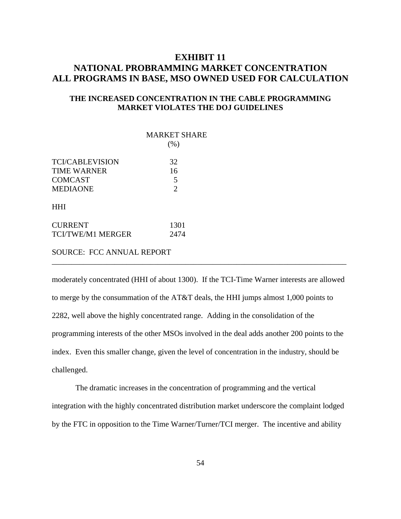# **EXHIBIT 11 NATIONAL PROBRAMMING MARKET CONCENTRATION ALL PROGRAMS IN BASE, MSO OWNED USED FOR CALCULATION**

## **THE INCREASED CONCENTRATION IN THE CABLE PROGRAMMING MARKET VIOLATES THE DOJ GUIDELINES**

|                          | <b>MARKET SHARE</b><br>(% ) |
|--------------------------|-----------------------------|
|                          |                             |
| <b>TCI/CABLEVISION</b>   | 32                          |
| <b>TIME WARNER</b>       | 16                          |
| <b>COMCAST</b>           | 5                           |
| <b>MEDIAONE</b>          | 2                           |
| <b>HHI</b>               |                             |
| <b>CURRENT</b>           | 1301                        |
| <b>TCI/TWE/M1 MERGER</b> | 2474                        |
|                          |                             |

SOURCE: FCC ANNUAL REPORT

moderately concentrated (HHI of about 1300). If the TCI-Time Warner interests are allowed to merge by the consummation of the AT&T deals, the HHI jumps almost 1,000 points to 2282, well above the highly concentrated range. Adding in the consolidation of the programming interests of the other MSOs involved in the deal adds another 200 points to the index. Even this smaller change, given the level of concentration in the industry, should be challenged.

\_\_\_\_\_\_\_\_\_\_\_\_\_\_\_\_\_\_\_\_\_\_\_\_\_\_\_\_\_\_\_\_\_\_\_\_\_\_\_\_\_\_\_\_\_\_\_\_\_\_\_\_\_\_\_\_\_\_\_\_\_\_\_\_\_\_\_\_\_\_\_\_\_\_\_

The dramatic increases in the concentration of programming and the vertical integration with the highly concentrated distribution market underscore the complaint lodged by the FTC in opposition to the Time Warner/Turner/TCI merger. The incentive and ability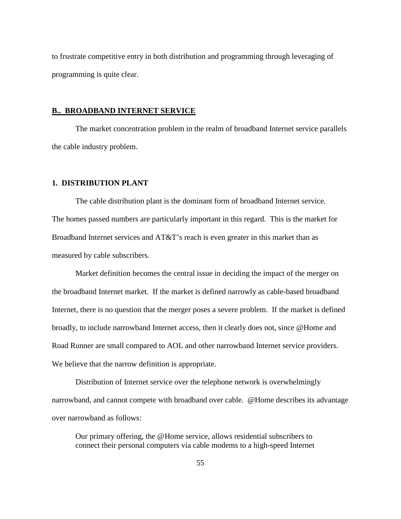to frustrate competitive entry in both distribution and programming through leveraging of programming is quite clear.

#### **B.. BROADBAND INTERNET SERVICE**

The market concentration problem in the realm of broadband Internet service parallels the cable industry problem.

### **1. DISTRIBUTION PLANT**

The cable distribution plant is the dominant form of broadband Internet service. The homes passed numbers are particularly important in this regard. This is the market for Broadband Internet services and AT&T's reach is even greater in this market than as measured by cable subscribers.

Market definition becomes the central issue in deciding the impact of the merger on the broadband Internet market. If the market is defined narrowly as cable-based broadband Internet, there is no question that the merger poses a severe problem. If the market is defined broadly, to include narrowband Internet access, then it clearly does not, since @Home and Road Runner are small compared to AOL and other narrowband Internet service providers. We believe that the narrow definition is appropriate.

Distribution of Internet service over the telephone network is overwhelmingly narrowband, and cannot compete with broadband over cable. @Home describes its advantage over narrowband as follows:

Our primary offering, the @Home service, allows residential subscribers to connect their personal computers via cable modems to a high-speed Internet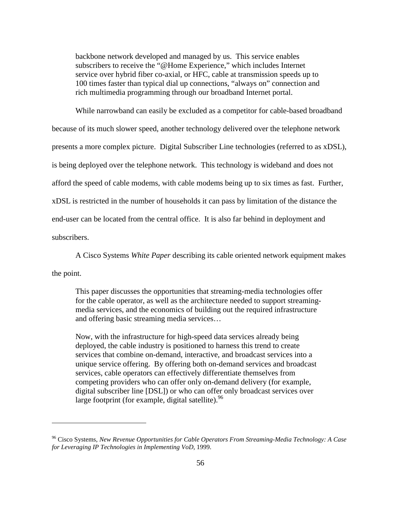backbone network developed and managed by us. This service enables subscribers to receive the "@Home Experience," which includes Internet service over hybrid fiber co-axial, or HFC, cable at transmission speeds up to 100 times faster than typical dial up connections, "always on" connection and rich multimedia programming through our broadband Internet portal.

While narrowband can easily be excluded as a competitor for cable-based broadband

because of its much slower speed, another technology delivered over the telephone network

presents a more complex picture. Digital Subscriber Line technologies (referred to as xDSL),

is being deployed over the telephone network. This technology is wideband and does not

afford the speed of cable modems, with cable modems being up to six times as fast. Further,

xDSL is restricted in the number of households it can pass by limitation of the distance the

end-user can be located from the central office. It is also far behind in deployment and

subscribers.

A Cisco Systems *White Paper* describing its cable oriented network equipment makes

the point.

 $\overline{a}$ 

This paper discusses the opportunities that streaming-media technologies offer for the cable operator, as well as the architecture needed to support streamingmedia services, and the economics of building out the required infrastructure and offering basic streaming media services…

Now, with the infrastructure for high-speed data services already being deployed, the cable industry is positioned to harness this trend to create services that combine on-demand, interactive, and broadcast services into a unique service offering. By offering both on-demand services and broadcast services, cable operators can effectively differentiate themselves from competing providers who can offer only on-demand delivery (for example, digital subscriber line [DSL]) or who can offer only broadcast services over large footprint (for example, digital satellite). $96$ 

<sup>96</sup> Cisco Systems, *New Revenue Opportunities for Cable Operators From Streaming-Media Technology: A Case for Leveraging IP Technologies in Implementing VoD*, 1999.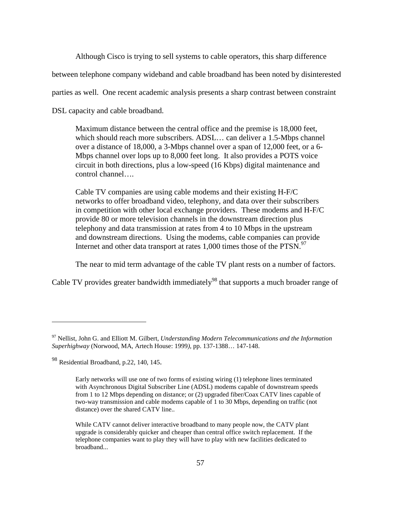Although Cisco is trying to sell systems to cable operators, this sharp difference

between telephone company wideband and cable broadband has been noted by disinterested

parties as well. One recent academic analysis presents a sharp contrast between constraint

DSL capacity and cable broadband.

Maximum distance between the central office and the premise is 18,000 feet, which should reach more subscribers. ADSL… can deliver a 1.5-Mbps channel over a distance of 18,000, a 3-Mbps channel over a span of 12,000 feet, or a 6- Mbps channel over lops up to 8,000 feet long. It also provides a POTS voice circuit in both directions, plus a low-speed (16 Kbps) digital maintenance and control channel….

Cable TV companies are using cable modems and their existing H-F/C networks to offer broadband video, telephony, and data over their subscribers in competition with other local exchange providers. These modems and H-F/C provide 80 or more television channels in the downstream direction plus telephony and data transmission at rates from 4 to 10 Mbps in the upstream and downstream directions. Using the modems, cable companies can provide Internet and other data transport at rates  $1,000$  times those of the PTSN.<sup>97</sup>

The near to mid term advantage of the cable TV plant rests on a number of factors.

Cable TV provides greater bandwidth immediately<sup>98</sup> that supports a much broader range of

<sup>97</sup> Nellist, John G. and Elliott M. Gilbert, *Understanding Modern Telecommunications and the Information Superhighway* (Norwood, MA, Artech House: 1999*),* pp. 137-1388… 147-148.

<sup>98</sup> Residential Broadband, p.22, 140, 145.

Early networks will use one of two forms of existing wiring (1) telephone lines terminated with Asynchronous Digital Subscriber Line (ADSL) modems capable of downstream speeds from 1 to 12 Mbps depending on distance; or (2) upgraded fiber/Coax CATV lines capable of two-way transmission and cable modems capable of 1 to 30 Mbps, depending on traffic (not distance) over the shared CATV line..

While CATV cannot deliver interactive broadband to many people now, the CATV plant upgrade is considerably quicker and cheaper than central office switch replacement. If the telephone companies want to play they will have to play with new facilities dedicated to broadband...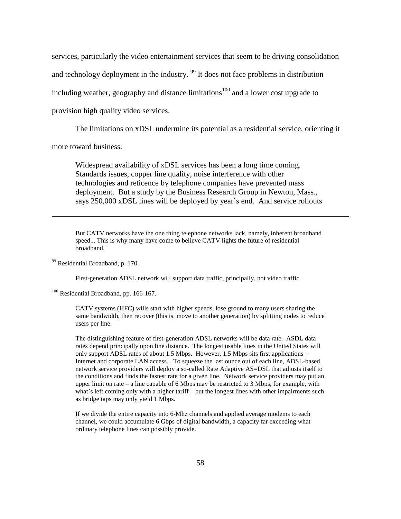services, particularly the video entertainment services that seem to be driving consolidation and technology deployment in the industry.  $99$  It does not face problems in distribution including weather, geography and distance limitations<sup>100</sup> and a lower cost upgrade to provision high quality video services.

The limitations on xDSL undermine its potential as a residential service, orienting it

more toward business.

 $\overline{a}$ 

Widespread availability of xDSL services has been a long time coming. Standards issues, copper line quality, noise interference with other technologies and reticence by telephone companies have prevented mass deployment. But a study by the Business Research Group in Newton, Mass., says 250,000 xDSL lines will be deployed by year's end. And service rollouts

But CATV networks have the one thing telephone networks lack, namely, inherent broadband speed... This is why many have come to believe CATV lights the future of residential broadband.

99 Residential Broadband, p. 170.

First-generation ADSL network will support data traffic, principally, not video traffic.

<sup>100</sup> Residential Broadband, pp. 166-167.

CATV systems (HFC) wills start with higher speeds, lose ground to many users sharing the same bandwidth, then recover (this is, move to another generation) by splitting nodes to reduce users per line.

The distinguishing feature of first-generation ADSL networks will be data rate. ASDL data rates depend principally upon line distance. The longest usable lines in the United States will only support ADSL rates of about 1.5 Mbps. However, 1.5 Mbps sits first applications – Internet and corporate LAN access... To squeeze the last ounce out of each line, ADSL-based network service providers will deploy a so-called Rate Adaptive AS=DSL that adjusts itself to the conditions and finds the fastest rate for a given line. Network service providers may put an upper limit on rate – a line capable of 6 Mbps may be restricted to 3 Mbps, for example, with what's left coming only with a higher tariff – but the longest lines with other impairments such as bridge taps may only yield 1 Mbps.

If we divide the entire capacity into 6-Mhz channels and applied average modems to each channel, we could accumulate 6 Gbps of digital bandwidth, a capacity far exceeding what ordinary telephone lines can possibly provide.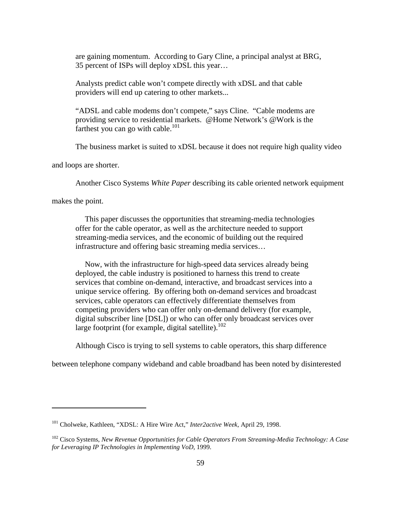are gaining momentum. According to Gary Cline, a principal analyst at BRG, 35 percent of ISPs will deploy xDSL this year…

Analysts predict cable won't compete directly with xDSL and that cable providers will end up catering to other markets...

"ADSL and cable modems don't compete," says Cline. "Cable modems are providing service to residential markets. @Home Network's @Work is the farthest you can go with cable. $^{101}$ 

The business market is suited to xDSL because it does not require high quality video

and loops are shorter.

Another Cisco Systems *White Paper* describing its cable oriented network equipment

makes the point.

 $\overline{a}$ 

This paper discusses the opportunities that streaming-media technologies offer for the cable operator, as well as the architecture needed to support streaming-media services, and the economic of building out the required infrastructure and offering basic streaming media services…

Now, with the infrastructure for high-speed data services already being deployed, the cable industry is positioned to harness this trend to create services that combine on-demand, interactive, and broadcast services into a unique service offering. By offering both on-demand services and broadcast services, cable operators can effectively differentiate themselves from competing providers who can offer only on-demand delivery (for example, digital subscriber line [DSL]) or who can offer only broadcast services over large footprint (for example, digital satellite). $102$ 

Although Cisco is trying to sell systems to cable operators, this sharp difference

between telephone company wideband and cable broadband has been noted by disinterested

<sup>101</sup> Cholweke, Kathleen, "XDSL: A Hire Wire Act," *Inter2active Week*, April 29, 1998.

<sup>102</sup> Cisco Systems, *New Revenue Opportunities for Cable Operators From Streaming-Media Technology: A Case for Leveraging IP Technologies in Implementing VoD*, 1999.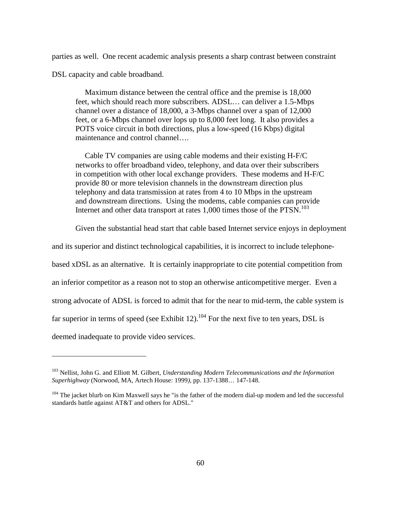parties as well. One recent academic analysis presents a sharp contrast between constraint DSL capacity and cable broadband.

Maximum distance between the central office and the premise is 18,000 feet, which should reach more subscribers. ADSL… can deliver a 1.5-Mbps channel over a distance of 18,000, a 3-Mbps channel over a span of 12,000 feet, or a 6-Mbps channel over lops up to 8,000 feet long. It also provides a POTS voice circuit in both directions, plus a low-speed (16 Kbps) digital maintenance and control channel….

Cable TV companies are using cable modems and their existing H-F/C networks to offer broadband video, telephony, and data over their subscribers in competition with other local exchange providers. These modems and H-F/C provide 80 or more television channels in the downstream direction plus telephony and data transmission at rates from 4 to 10 Mbps in the upstream and downstream directions. Using the modems, cable companies can provide Internet and other data transport at rates 1,000 times those of the PTSN.<sup>103</sup>

Given the substantial head start that cable based Internet service enjoys in deployment

and its superior and distinct technological capabilities, it is incorrect to include telephone-

based xDSL as an alternative. It is certainly inappropriate to cite potential competition from

an inferior competitor as a reason not to stop an otherwise anticompetitive merger. Even a

strong advocate of ADSL is forced to admit that for the near to mid-term, the cable system is

far superior in terms of speed (see Exhibit 12).<sup>104</sup> For the next five to ten years, DSL is

deemed inadequate to provide video services.

<sup>103</sup> Nellist, John G. and Elliott M. Gilbert, *Understanding Modern Telecommunications and the Information Superhighway* (Norwood, MA, Artech House: 1999*),* pp. 137-1388… 147-148.

<sup>&</sup>lt;sup>104</sup> The jacket blurb on Kim Maxwell says he "is the father of the modern dial-up modem and led the successful standards battle against AT&T and others for ADSL."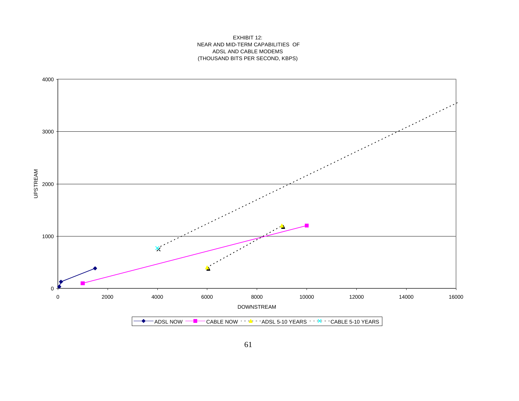#### EXHIBIT 12: NEAR AND MID-TERM CAPABILITIES OF ADSL AND CABLE MODEMS (THOUSAND BITS PER SECOND, KBPS)

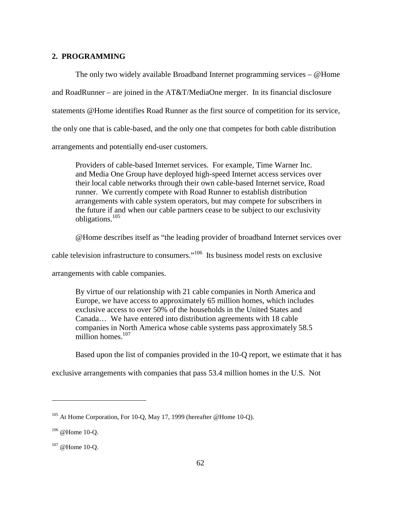### **2. PROGRAMMING**

The only two widely available Broadband Internet programming services – @Home and RoadRunner – are joined in the AT&T/MediaOne merger. In its financial disclosure statements @Home identifies Road Runner as the first source of competition for its service, the only one that is cable-based, and the only one that competes for both cable distribution arrangements and potentially end-user customers.

Providers of cable-based Internet services. For example, Time Warner Inc. and Media One Group have deployed high-speed Internet access services over their local cable networks through their own cable-based Internet service, Road runner. We currently compete with Road Runner to establish distribution arrangements with cable system operators, but may compete for subscribers in the future if and when our cable partners cease to be subject to our exclusivity obligations.105

@Home describes itself as "the leading provider of broadband Internet services over

cable television infrastructure to consumers."<sup>106</sup> Its business model rests on exclusive

arrangements with cable companies.

By virtue of our relationship with 21 cable companies in North America and Europe, we have access to approximately 65 million homes, which includes exclusive access to over 50% of the households in the United States and Canada… We have entered into distribution agreements with 18 cable companies in North America whose cable systems pass approximately 58.5 million homes $107$ 

Based upon the list of companies provided in the 10-Q report, we estimate that it has

exclusive arrangements with companies that pass 53.4 million homes in the U.S. Not

<sup>&</sup>lt;sup>105</sup> At Home Corporation, For 10-Q, May 17, 1999 (hereafter @Home 10-Q).

<sup>106 @</sup>Home 10-Q.

<sup>107 @</sup>Home 10-Q.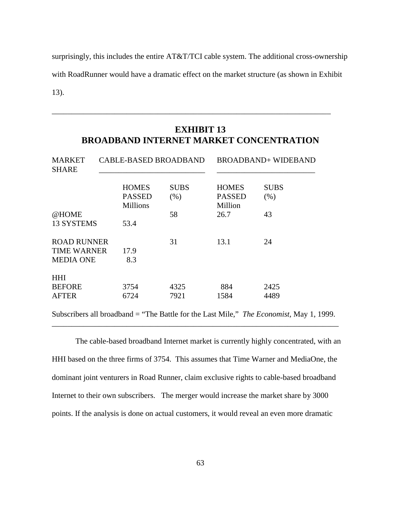surprisingly, this includes the entire AT&T/TCI cable system. The additional cross-ownership with RoadRunner would have a dramatic effect on the market structure (as shown in Exhibit

13).

# **EXHIBIT 13 BROADBAND INTERNET MARKET CONCENTRATION**

\_\_\_\_\_\_\_\_\_\_\_\_\_\_\_\_\_\_\_\_\_\_\_\_\_\_\_\_\_\_\_\_\_\_\_\_\_\_\_\_\_\_\_\_\_\_\_\_\_\_\_\_\_\_\_\_\_\_\_\_\_\_\_\_\_\_\_\_\_\_\_

| <b>MARKET</b><br><b>SHARE</b> | <b>CABLE-BASED BROADBAND</b>     |             | <b>BROADBAND+ WIDEBAND</b> |             |
|-------------------------------|----------------------------------|-------------|----------------------------|-------------|
|                               | <b>HOMES</b>                     | <b>SUBS</b> | <b>HOMES</b>               | <b>SUBS</b> |
|                               | <b>PASSED</b><br><b>Millions</b> | (% )        | <b>PASSED</b><br>Million   | (% )        |
| @HOME                         |                                  | 58          | 26.7                       | 43          |
| 13 SYSTEMS                    | 53.4                             |             |                            |             |
| <b>ROAD RUNNER</b>            |                                  | 31          | 13.1                       | 24          |
| <b>TIME WARNER</b>            | 17.9                             |             |                            |             |
| <b>MEDIA ONE</b>              | 8.3                              |             |                            |             |
| <b>HHI</b>                    |                                  |             |                            |             |
| <b>BEFORE</b>                 | 3754                             | 4325        | 884                        | 2425        |
| <b>AFTER</b>                  | 6724                             | 7921        | 1584                       | 4489        |

Subscribers all broadband = "The Battle for the Last Mile," *The Economist,* May 1, 1999. \_\_\_\_\_\_\_\_\_\_\_\_\_\_\_\_\_\_\_\_\_\_\_\_\_\_\_\_\_\_\_\_\_\_\_\_\_\_\_\_\_\_\_\_\_\_\_\_\_\_\_\_\_\_\_\_\_\_\_\_\_\_\_\_\_\_\_\_\_\_\_\_\_

The cable-based broadband Internet market is currently highly concentrated, with an HHI based on the three firms of 3754. This assumes that Time Warner and MediaOne, the dominant joint venturers in Road Runner, claim exclusive rights to cable-based broadband Internet to their own subscribers. The merger would increase the market share by 3000 points. If the analysis is done on actual customers, it would reveal an even more dramatic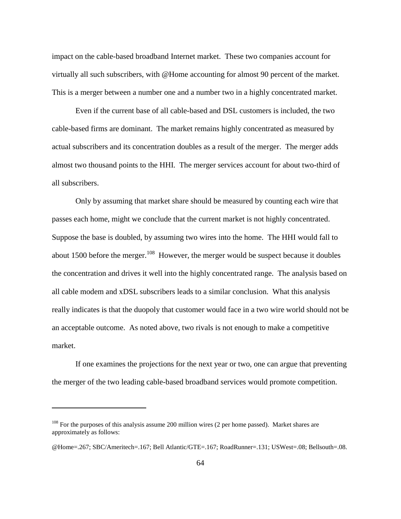impact on the cable-based broadband Internet market. These two companies account for virtually all such subscribers, with @Home accounting for almost 90 percent of the market. This is a merger between a number one and a number two in a highly concentrated market.

Even if the current base of all cable-based and DSL customers is included, the two cable-based firms are dominant. The market remains highly concentrated as measured by actual subscribers and its concentration doubles as a result of the merger. The merger adds almost two thousand points to the HHI. The merger services account for about two-third of all subscribers.

Only by assuming that market share should be measured by counting each wire that passes each home, might we conclude that the current market is not highly concentrated. Suppose the base is doubled, by assuming two wires into the home. The HHI would fall to about 1500 before the merger.<sup>108</sup> However, the merger would be suspect because it doubles the concentration and drives it well into the highly concentrated range. The analysis based on all cable modem and xDSL subscribers leads to a similar conclusion. What this analysis really indicates is that the duopoly that customer would face in a two wire world should not be an acceptable outcome. As noted above, two rivals is not enough to make a competitive market.

If one examines the projections for the next year or two, one can argue that preventing the merger of the two leading cable-based broadband services would promote competition.

 $108$  For the purposes of this analysis assume 200 million wires (2 per home passed). Market shares are approximately as follows:

<sup>@</sup>Home=.267; SBC/Ameritech=.167; Bell Atlantic/GTE=.167; RoadRunner=.131; USWest=.08; Bellsouth=.08.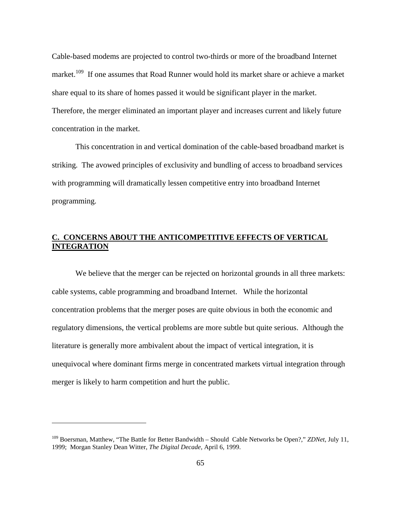Cable-based modems are projected to control two-thirds or more of the broadband Internet market.<sup>109</sup> If one assumes that Road Runner would hold its market share or achieve a market share equal to its share of homes passed it would be significant player in the market. Therefore, the merger eliminated an important player and increases current and likely future concentration in the market.

This concentration in and vertical domination of the cable-based broadband market is striking. The avowed principles of exclusivity and bundling of access to broadband services with programming will dramatically lessen competitive entry into broadband Internet programming.

## **C. CONCERNS ABOUT THE ANTICOMPETITIVE EFFECTS OF VERTICAL INTEGRATION**

We believe that the merger can be rejected on horizontal grounds in all three markets: cable systems, cable programming and broadband Internet. While the horizontal concentration problems that the merger poses are quite obvious in both the economic and regulatory dimensions, the vertical problems are more subtle but quite serious. Although the literature is generally more ambivalent about the impact of vertical integration, it is unequivocal where dominant firms merge in concentrated markets virtual integration through merger is likely to harm competition and hurt the public.

<sup>109</sup> Boersman, Matthew, "The Battle for Better Bandwidth – Should Cable Networks be Open?," *ZDNet*, July 11, 1999; Morgan Stanley Dean Witter, *The Digital Decade,* April 6, 1999.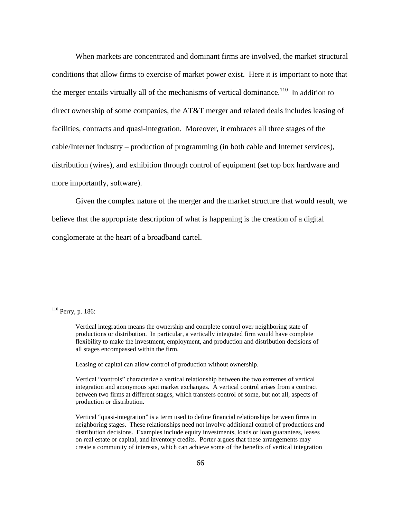When markets are concentrated and dominant firms are involved, the market structural conditions that allow firms to exercise of market power exist. Here it is important to note that the merger entails virtually all of the mechanisms of vertical dominance.<sup>110</sup> In addition to direct ownership of some companies, the AT&T merger and related deals includes leasing of facilities, contracts and quasi-integration. Moreover, it embraces all three stages of the cable/Internet industry – production of programming (in both cable and Internet services), distribution (wires), and exhibition through control of equipment (set top box hardware and more importantly, software).

Given the complex nature of the merger and the market structure that would result, we believe that the appropriate description of what is happening is the creation of a digital conglomerate at the heart of a broadband cartel.

 $110$  Perry, p. 186:

 $\overline{a}$ 

Leasing of capital can allow control of production without ownership.

Vertical integration means the ownership and complete control over neighboring state of productions or distribution. In particular, a vertically integrated firm would have complete flexibility to make the investment, employment, and production and distribution decisions of all stages encompassed within the firm.

Vertical "controls" characterize a vertical relationship between the two extremes of vertical integration and anonymous spot market exchanges. A vertical control arises from a contract between two firms at different stages, which transfers control of some, but not all, aspects of production or distribution.

Vertical "quasi-integration" is a term used to define financial relationships between firms in neighboring stages. These relationships need not involve additional control of productions and distribution decisions. Examples include equity investments, loads or loan guarantees, leases on real estate or capital, and inventory credits. Porter argues that these arrangements may create a community of interests, which can achieve some of the benefits of vertical integration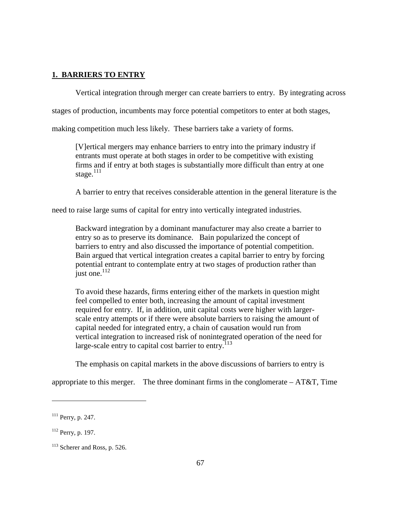## **1. BARRIERS TO ENTRY**

Vertical integration through merger can create barriers to entry. By integrating across

stages of production, incumbents may force potential competitors to enter at both stages,

making competition much less likely. These barriers take a variety of forms.

[V]ertical mergers may enhance barriers to entry into the primary industry if entrants must operate at both stages in order to be competitive with existing firms and if entry at both stages is substantially more difficult than entry at one stage. $111$ 

A barrier to entry that receives considerable attention in the general literature is the

need to raise large sums of capital for entry into vertically integrated industries.

Backward integration by a dominant manufacturer may also create a barrier to entry so as to preserve its dominance. Bain popularized the concept of barriers to entry and also discussed the importance of potential competition. Bain argued that vertical integration creates a capital barrier to entry by forcing potential entrant to contemplate entry at two stages of production rather than just one. $^{112}$ 

To avoid these hazards, firms entering either of the markets in question might feel compelled to enter both, increasing the amount of capital investment required for entry. If, in addition, unit capital costs were higher with largerscale entry attempts or if there were absolute barriers to raising the amount of capital needed for integrated entry, a chain of causation would run from vertical integration to increased risk of nonintegrated operation of the need for large-scale entry to capital cost barrier to entry.<sup>113</sup>

The emphasis on capital markets in the above discussions of barriers to entry is

appropriate to this merger. The three dominant firms in the conglomerate  $- AT&T$ , Time

<sup>111</sup> Perry, p. 247.

<sup>112</sup> Perry, p. 197.

<sup>&</sup>lt;sup>113</sup> Scherer and Ross, p. 526.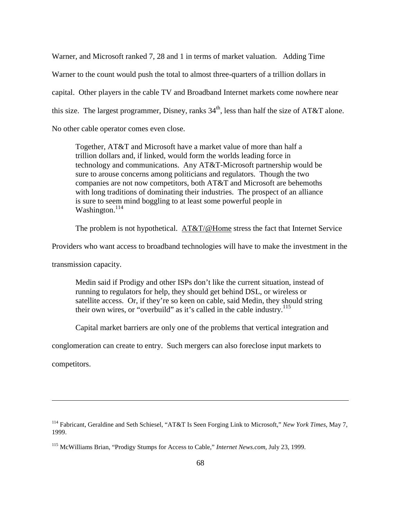Warner, and Microsoft ranked 7, 28 and 1 in terms of market valuation. Adding Time Warner to the count would push the total to almost three-quarters of a trillion dollars in capital. Other players in the cable TV and Broadband Internet markets come nowhere near this size. The largest programmer, Disney, ranks  $34<sup>th</sup>$ , less than half the size of AT&T alone. No other cable operator comes even close.

Together, AT&T and Microsoft have a market value of more than half a trillion dollars and, if linked, would form the worlds leading force in technology and communications. Any AT&T-Microsoft partnership would be sure to arouse concerns among politicians and regulators. Though the two companies are not now competitors, both AT&T and Microsoft are behemoths with long traditions of dominating their industries. The prospect of an alliance is sure to seem mind boggling to at least some powerful people in Washington.<sup>114</sup>

The problem is not hypothetical. [AT&T/@Home](mailto:AT&T/@Home) stress the fact that Internet Service

Providers who want access to broadband technologies will have to make the investment in the

transmission capacity.

Medin said if Prodigy and other ISPs don't like the current situation, instead of running to regulators for help, they should get behind DSL, or wireless or satellite access. Or, if they're so keen on cable, said Medin, they should string their own wires, or "overbuild" as it's called in the cable industry.<sup>115</sup>

Capital market barriers are only one of the problems that vertical integration and

conglomeration can create to entry. Such mergers can also foreclose input markets to

competitors.

<sup>114</sup> Fabricant, Geraldine and Seth Schiesel, "AT&T Is Seen Forging Link to Microsoft," *New York Times*, May 7, 1999.

<sup>115</sup> McWilliams Brian, "Prodigy Stumps for Access to Cable," *Internet News.com*, July 23, 1999.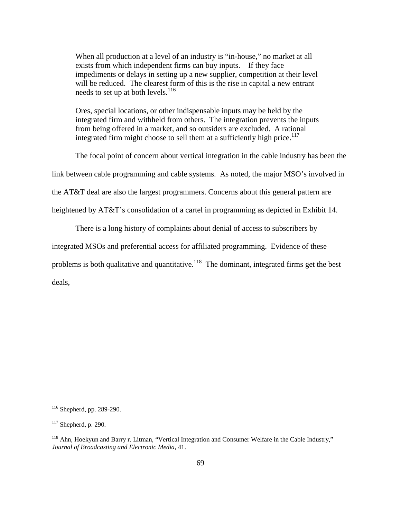When all production at a level of an industry is "in-house," no market at all exists from which independent firms can buy inputs. If they face impediments or delays in setting up a new supplier, competition at their level will be reduced. The clearest form of this is the rise in capital a new entrant needs to set up at both levels.<sup>116</sup>

Ores, special locations, or other indispensable inputs may be held by the integrated firm and withheld from others. The integration prevents the inputs from being offered in a market, and so outsiders are excluded. A rational integrated firm might choose to sell them at a sufficiently high price.<sup>117</sup>

The focal point of concern about vertical integration in the cable industry has been the

link between cable programming and cable systems. As noted, the major MSO's involved in

the AT&T deal are also the largest programmers. Concerns about this general pattern are

heightened by AT&T's consolidation of a cartel in programming as depicted in Exhibit 14.

There is a long history of complaints about denial of access to subscribers by

integrated MSOs and preferential access for affiliated programming. Evidence of these

problems is both qualitative and quantitative.<sup>118</sup> The dominant, integrated firms get the best

deals,

<sup>116</sup> Shepherd, pp. 289-290.

 $117$  Shepherd, p. 290.

<sup>&</sup>lt;sup>118</sup> Ahn, Hoekyun and Barry r. Litman, "Vertical Integration and Consumer Welfare in the Cable Industry," *Journal of Broadcasting and Electronic Media,* 41.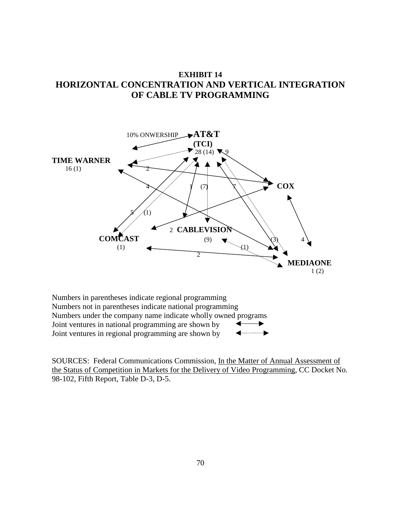

## **EXHIBIT 14 HORIZONTAL CONCENTRATION AND VERTICAL INTEGRATION OF CABLE TV PROGRAMMING**



SOURCES: Federal Communications Commission, In the Matter of Annual Assessment of the Status of Competition in Markets for the Delivery of Video Programming, CC Docket No. 98-102, Fifth Report, Table D-3, D-5.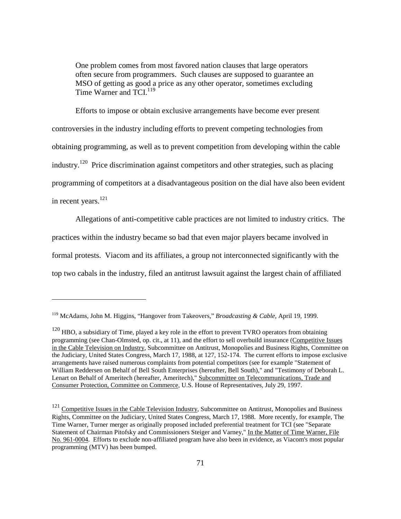One problem comes from most favored nation clauses that large operators often secure from programmers. Such clauses are supposed to guarantee an MSO of getting as good a price as any other operator, sometimes excluding Time Warner and TCI.<sup>119</sup>

Efforts to impose or obtain exclusive arrangements have become ever present controversies in the industry including efforts to prevent competing technologies from obtaining programming, as well as to prevent competition from developing within the cable industry.<sup>120</sup> Price discrimination against competitors and other strategies, such as placing programming of competitors at a disadvantageous position on the dial have also been evident in recent years.<sup>121</sup>

Allegations of anti-competitive cable practices are not limited to industry critics. The practices within the industry became so bad that even major players became involved in formal protests. Viacom and its affiliates, a group not interconnected significantly with the top two cabals in the industry, filed an antitrust lawsuit against the largest chain of affiliated

<sup>119</sup> McAdams, John M. Higgins, "Hangover from Takeovers," *Broadcasting & Cable,* April 19, 1999.

<sup>&</sup>lt;sup>120</sup> HBO, a subsidiary of Time, played a key role in the effort to prevent TVRO operators from obtaining programming (see Chan-Olmsted, op. cit., at 11), and the effort to sell overbuild insurance (Competitive Issues in the Cable Television on Industry, Subcommittee on Antitrust, Monopolies and Business Rights, Committee on the Judiciary, United States Congress, March 17, 1988, at 127, 152-174. The current efforts to impose exclusive arrangements have raised numerous complaints from potential competitors (see for example "Statement of William Reddersen on Behalf of Bell South Enterprises (hereafter, Bell South)," and "Testimony of Deborah L. Lenart on Behalf of Ameritech (hereafter, Ameritech)," Subcommittee on Telecommunications, Trade and Consumer Protection, Committee on Commerce, U.S. House of Representatives, July 29, 1997.

<sup>&</sup>lt;sup>121</sup> Competitive Issues in the Cable Television Industry, Subcommittee on Antitrust, Monopolies and Business Rights, Committee on the Judiciary, United States Congress, March 17, 1988. More recently, for example, The Time Warner, Turner merger as originally proposed included preferential treatment for TCI (see "Separate Statement of Chairman Pitofsky and Commissioners Steiger and Varney," In the Matter of Time Warner, File No. 961-0004. Efforts to exclude non-affiliated program have also been in evidence, as Viacom's most popular programming (MTV) has been bumped.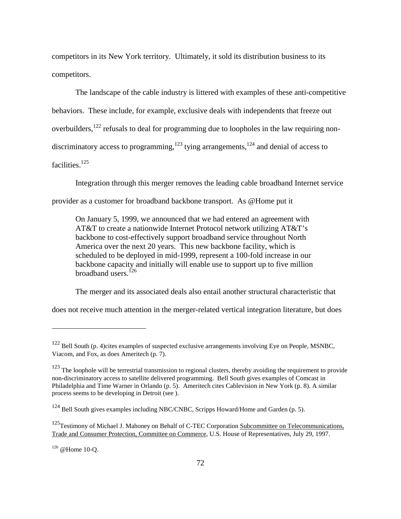competitors in its New York territory. Ultimately, it sold its distribution business to its competitors.

The landscape of the cable industry is littered with examples of these anti-competitive behaviors. These include, for example, exclusive deals with independents that freeze out overbuilders,  $122$  refusals to deal for programming due to loopholes in the law requiring nondiscriminatory access to programming,<sup>123</sup> tying arrangements,<sup>124</sup> and denial of access to facilities.<sup>125</sup>

Integration through this merger removes the leading cable broadband Internet service

provider as a customer for broadband backbone transport. As @Home put it

On January 5, 1999, we announced that we had entered an agreement with AT&T to create a nationwide Internet Protocol network utilizing AT&T's backbone to cost-effectively support broadband service throughout North America over the next 20 years. This new backbone facility, which is scheduled to be deployed in mid-1999, represent a 100-fold increase in our backbone capacity and initially will enable use to support up to five million broadband users. $^{126}$ 

The merger and its associated deals also entail another structural characteristic that

does not receive much attention in the merger-related vertical integration literature, but does

<sup>&</sup>lt;sup>122</sup> Bell South (p. 4)cites examples of suspected exclusive arrangements involving Eye on People, MSNBC, Viacom, and Fox, as does Ameritech (p. 7).

 $123$  The loophole will be terrestrial transmission to regional clusters, thereby avoiding the requirement to provide non-discriminatory access to satellite delivered programming. Bell South gives examples of Comcast in Philadelphia and Time Warner in Orlando (p. 5). Ameritech cites Cablevision in New York (p. 8). A similar process seems to be developing in Detroit (see ).

<sup>&</sup>lt;sup>124</sup> Bell South gives examples including NBC/CNBC, Scripps Howard/Home and Garden (p. 5).

<sup>&</sup>lt;sup>125</sup>Testimony of Michael J. Mahoney on Behalf of C-TEC Corporation Subcommittee on Telecommunications, Trade and Consumer Protection, Committee on Commerce, U.S. House of Representatives, July 29, 1997.

 $126$  @ Home 10-O.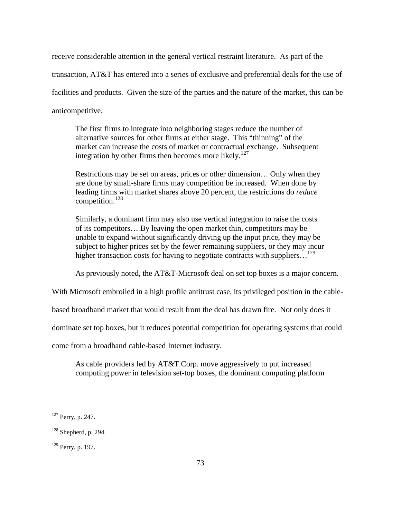receive considerable attention in the general vertical restraint literature. As part of the transaction, AT&T has entered into a series of exclusive and preferential deals for the use of facilities and products. Given the size of the parties and the nature of the market, this can be anticompetitive.

The first firms to integrate into neighboring stages reduce the number of alternative sources for other firms at either stage. This "thinning" of the market can increase the costs of market or contractual exchange. Subsequent integration by other firms then becomes more likely.<sup>127</sup>

Restrictions may be set on areas, prices or other dimension… Only when they are done by small-share firms may competition be increased. When done by leading firms with market shares above 20 percent, the restrictions do *reduce* competition.<sup>128</sup>

Similarly, a dominant firm may also use vertical integration to raise the costs of its competitors… By leaving the open market thin, competitors may be unable to expand without significantly driving up the input price, they may be subject to higher prices set by the fewer remaining suppliers, or they may incur higher transaction costs for having to negotiate contracts with suppliers...<sup>129</sup>

As previously noted, the AT&T-Microsoft deal on set top boxes is a major concern.

With Microsoft embroiled in a high profile antitrust case, its privileged position in the cable-

based broadband market that would result from the deal has drawn fire. Not only does it

dominate set top boxes, but it reduces potential competition for operating systems that could

come from a broadband cable-based Internet industry.

As cable providers led by AT&T Corp. move aggressively to put increased computing power in television set-top boxes, the dominant computing platform

<sup>&</sup>lt;sup>127</sup> Perry, p. 247.

 $128$  Shepherd, p. 294.

<sup>129</sup> Perry, p. 197.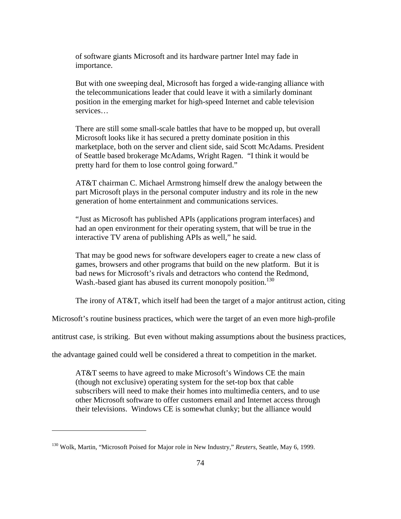of software giants Microsoft and its hardware partner Intel may fade in importance.

But with one sweeping deal, Microsoft has forged a wide-ranging alliance with the telecommunications leader that could leave it with a similarly dominant position in the emerging market for high-speed Internet and cable television services…

There are still some small-scale battles that have to be mopped up, but overall Microsoft looks like it has secured a pretty dominate position in this marketplace, both on the server and client side, said Scott McAdams. President of Seattle based brokerage McAdams, Wright Ragen. "I think it would be pretty hard for them to lose control going forward."

AT&T chairman C. Michael Armstrong himself drew the analogy between the part Microsoft plays in the personal computer industry and its role in the new generation of home entertainment and communications services.

"Just as Microsoft has published APIs (applications program interfaces) and had an open environment for their operating system, that will be true in the interactive TV arena of publishing APIs as well," he said.

That may be good news for software developers eager to create a new class of games, browsers and other programs that build on the new platform. But it is bad news for Microsoft's rivals and detractors who contend the Redmond, Wash.-based giant has abused its current monopoly position.<sup>130</sup>

The irony of  $AT&T$ , which itself had been the target of a major antitrust action, citing

Microsoft's routine business practices, which were the target of an even more high-profile

antitrust case, is striking. But even without making assumptions about the business practices,

the advantage gained could well be considered a threat to competition in the market.

AT&T seems to have agreed to make Microsoft's Windows CE the main (though not exclusive) operating system for the set-top box that cable subscribers will need to make their homes into multimedia centers, and to use other Microsoft software to offer customers email and Internet access through their televisions. Windows CE is somewhat clunky; but the alliance would

<sup>130</sup> Wolk, Martin, "Microsoft Poised for Major role in New Industry," *Reuters*, Seattle, May 6, 1999.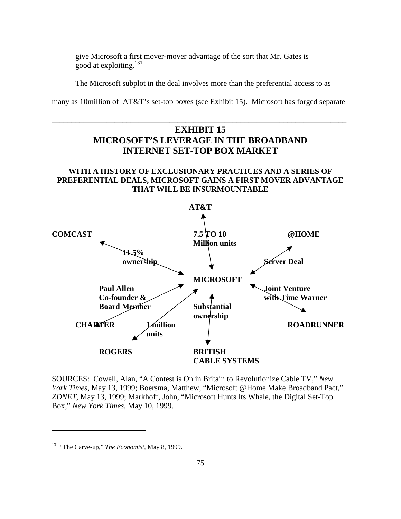give Microsoft a first mover-mover advantage of the sort that Mr. Gates is good at exploiting.<sup>131</sup>

The Microsoft subplot in the deal involves more than the preferential access to as

many as 10million of AT&T's set-top boxes (see Exhibit 15). Microsoft has forged separate

\_\_\_\_\_\_\_\_\_\_\_\_\_\_\_\_\_\_\_\_\_\_\_\_\_\_\_\_\_\_\_\_\_\_\_\_\_\_\_\_\_\_\_\_\_\_\_\_\_\_\_\_\_\_\_\_\_\_\_\_\_\_\_\_\_\_\_\_\_\_\_\_\_\_\_

# **EXHIBIT 15 MICROSOFT'S LEVERAGE IN THE BROADBAND INTERNET SET-TOP BOX MARKET**

## **WITH A HISTORY OF EXCLUSIONARY PRACTICES AND A SERIES OF PREFERENTIAL DEALS, MICROSOFT GAINS A FIRST MOVER ADVANTAGE THAT WILL BE INSURMOUNTABLE**



SOURCES: Cowell, Alan, "A Contest is On in Britain to Revolutionize Cable TV," *New York Times*, May 13, 1999; Boersma, Matthew, "Microsoft @Home Make Broadband Pact," *ZDNET*, May 13, 1999; Markhoff, John, "Microsoft Hunts Its Whale, the Digital Set-Top Box," *New York Times*, May 10, 1999.

<sup>131</sup> "The Carve-up," *The Economist*, May 8, 1999.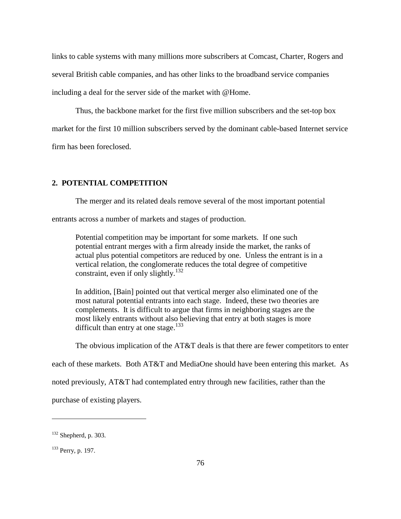links to cable systems with many millions more subscribers at Comcast, Charter, Rogers and several British cable companies, and has other links to the broadband service companies including a deal for the server side of the market with @Home.

Thus, the backbone market for the first five million subscribers and the set-top box market for the first 10 million subscribers served by the dominant cable-based Internet service firm has been foreclosed.

## **2. POTENTIAL COMPETITION**

The merger and its related deals remove several of the most important potential

entrants across a number of markets and stages of production.

Potential competition may be important for some markets. If one such potential entrant merges with a firm already inside the market, the ranks of actual plus potential competitors are reduced by one. Unless the entrant is in a vertical relation, the conglomerate reduces the total degree of competitive constraint, even if only slightly.<sup>132</sup>

In addition, [Bain] pointed out that vertical merger also eliminated one of the most natural potential entrants into each stage. Indeed, these two theories are complements. It is difficult to argue that firms in neighboring stages are the most likely entrants without also believing that entry at both stages is more difficult than entry at one stage. $133$ 

The obvious implication of the AT&T deals is that there are fewer competitors to enter

each of these markets. Both AT&T and MediaOne should have been entering this market. As

noted previously, AT&T had contemplated entry through new facilities, rather than the

purchase of existing players.

 $132$  Shepherd, p. 303.

<sup>133</sup> Perry, p. 197.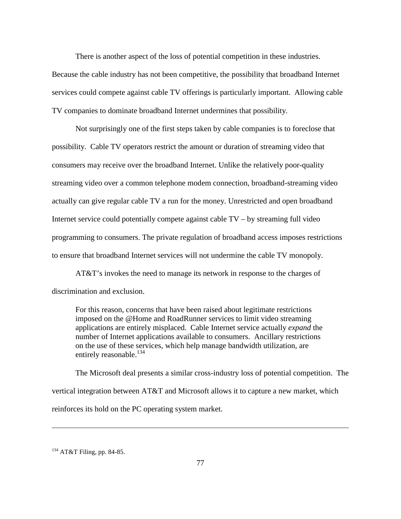There is another aspect of the loss of potential competition in these industries.

Because the cable industry has not been competitive, the possibility that broadband Internet services could compete against cable TV offerings is particularly important. Allowing cable TV companies to dominate broadband Internet undermines that possibility.

Not surprisingly one of the first steps taken by cable companies is to foreclose that possibility. Cable TV operators restrict the amount or duration of streaming video that consumers may receive over the broadband Internet. Unlike the relatively poor-quality streaming video over a common telephone modem connection, broadband-streaming video actually can give regular cable TV a run for the money. Unrestricted and open broadband Internet service could potentially compete against cable TV – by streaming full video programming to consumers. The private regulation of broadband access imposes restrictions to ensure that broadband Internet services will not undermine the cable TV monopoly.

AT&T's invokes the need to manage its network in response to the charges of discrimination and exclusion.

For this reason, concerns that have been raised about legitimate restrictions imposed on the @Home and RoadRunner services to limit video streaming applications are entirely misplaced. Cable Internet service actually *expand* the number of Internet applications available to consumers. Ancillary restrictions on the use of these services, which help manage bandwidth utilization, are entirely reasonable.<sup>134</sup>

The Microsoft deal presents a similar cross-industry loss of potential competition. The vertical integration between AT&T and Microsoft allows it to capture a new market, which reinforces its hold on the PC operating system market.

<sup>134</sup> AT&T Filing, pp. 84-85.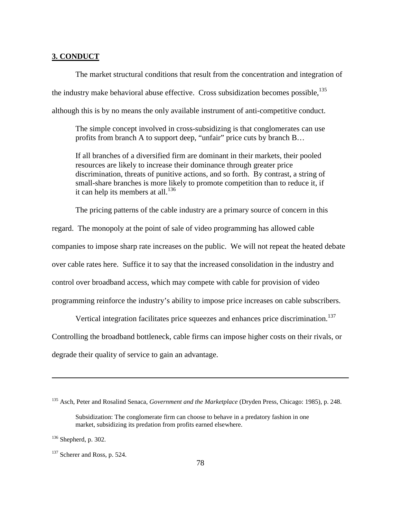#### **3. CONDUCT**

The market structural conditions that result from the concentration and integration of the industry make behavioral abuse effective. Cross subsidization becomes possible,  $^{135}$ although this is by no means the only available instrument of anti-competitive conduct.

The simple concept involved in cross-subsidizing is that conglomerates can use profits from branch A to support deep, "unfair" price cuts by branch B…

If all branches of a diversified firm are dominant in their markets, their pooled resources are likely to increase their dominance through greater price discrimination, threats of punitive actions, and so forth. By contrast, a string of small-share branches is more likely to promote competition than to reduce it, if it can help its members at all.<sup>136</sup>

The pricing patterns of the cable industry are a primary source of concern in this

regard. The monopoly at the point of sale of video programming has allowed cable companies to impose sharp rate increases on the public. We will not repeat the heated debate over cable rates here. Suffice it to say that the increased consolidation in the industry and control over broadband access, which may compete with cable for provision of video programming reinforce the industry's ability to impose price increases on cable subscribers.

Vertical integration facilitates price squeezes and enhances price discrimination.<sup>137</sup> Controlling the broadband bottleneck, cable firms can impose higher costs on their rivals, or degrade their quality of service to gain an advantage.

<sup>135</sup> Asch, Peter and Rosalind Senaca, *Government and the Marketplace* (Dryden Press, Chicago: 1985), p. 248.

Subsidization: The conglomerate firm can choose to behave in a predatory fashion in one market, subsidizing its predation from profits earned elsewhere.

<sup>136</sup> Shepherd, p. 302.

<sup>&</sup>lt;sup>137</sup> Scherer and Ross, p. 524.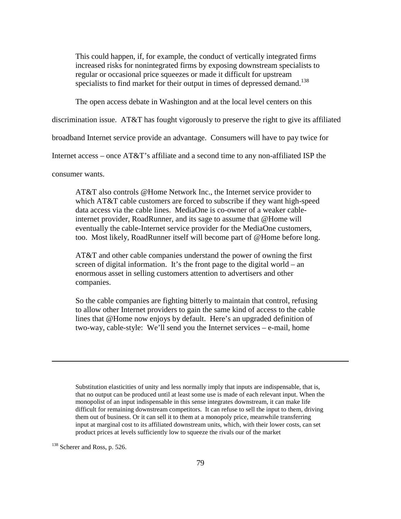This could happen, if, for example, the conduct of vertically integrated firms increased risks for nonintegrated firms by exposing downstream specialists to regular or occasional price squeezes or made it difficult for upstream specialists to find market for their output in times of depressed demand.<sup>138</sup>

The open access debate in Washington and at the local level centers on this

discrimination issue. AT&T has fought vigorously to preserve the right to give its affiliated

broadband Internet service provide an advantage. Consumers will have to pay twice for

Internet access – once AT&T's affiliate and a second time to any non-affiliated ISP the

consumer wants.

AT&T also controls @Home Network Inc., the Internet service provider to which AT&T cable customers are forced to subscribe if they want high-speed data access via the cable lines. MediaOne is co-owner of a weaker cableinternet provider, RoadRunner, and its sage to assume that @Home will eventually the cable-Internet service provider for the MediaOne customers, too. Most likely, RoadRunner itself will become part of @Home before long.

AT&T and other cable companies understand the power of owning the first screen of digital information. It's the front page to the digital world – an enormous asset in selling customers attention to advertisers and other companies.

So the cable companies are fighting bitterly to maintain that control, refusing to allow other Internet providers to gain the same kind of access to the cable lines that @Home now enjoys by default. Here's an upgraded definition of two-way, cable-style: We'll send you the Internet services – e-mail, home

Substitution elasticities of unity and less normally imply that inputs are indispensable, that is, that no output can be produced until at least some use is made of each relevant input. When the monopolist of an input indispensable in this sense integrates downstream, it can make life difficult for remaining downstream competitors. It can refuse to sell the input to them, driving them out of business. Or it can sell it to them at a monopoly price, meanwhile transferring input at marginal cost to its affiliated downstream units, which, with their lower costs, can set product prices at levels sufficiently low to squeeze the rivals our of the market

<sup>138</sup> Scherer and Ross, p. 526.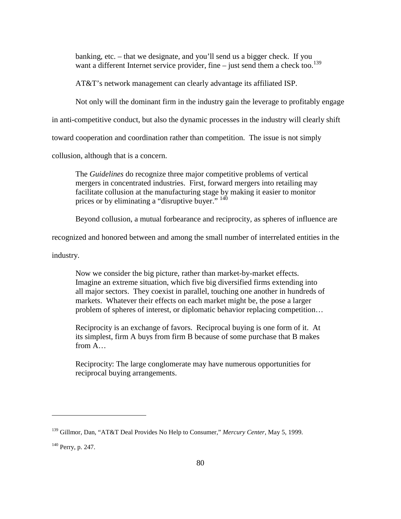banking, etc. – that we designate, and you'll send us a bigger check. If you want a different Internet service provider, fine – just send them a check too.<sup>139</sup>

AT&T's network management can clearly advantage its affiliated ISP.

Not only will the dominant firm in the industry gain the leverage to profitably engage

in anti-competitive conduct, but also the dynamic processes in the industry will clearly shift

toward cooperation and coordination rather than competition. The issue is not simply

collusion, although that is a concern.

The *Guidelines* do recognize three major competitive problems of vertical mergers in concentrated industries. First, forward mergers into retailing may facilitate collusion at the manufacturing stage by making it easier to monitor prices or by eliminating a "disruptive buyer." <sup>140</sup>

Beyond collusion, a mutual forbearance and reciprocity, as spheres of influence are

recognized and honored between and among the small number of interrelated entities in the

industry.

Now we consider the big picture, rather than market-by-market effects. Imagine an extreme situation, which five big diversified firms extending into all major sectors. They coexist in parallel, touching one another in hundreds of markets. Whatever their effects on each market might be, the pose a larger problem of spheres of interest, or diplomatic behavior replacing competition…

Reciprocity is an exchange of favors. Reciprocal buying is one form of it. At its simplest, firm A buys from firm B because of some purchase that B makes from A…

Reciprocity: The large conglomerate may have numerous opportunities for reciprocal buying arrangements.

<sup>139</sup> Gillmor, Dan, "AT&T Deal Provides No Help to Consumer," *Mercury Center*, May 5, 1999.

<sup>140</sup> Perry, p. 247.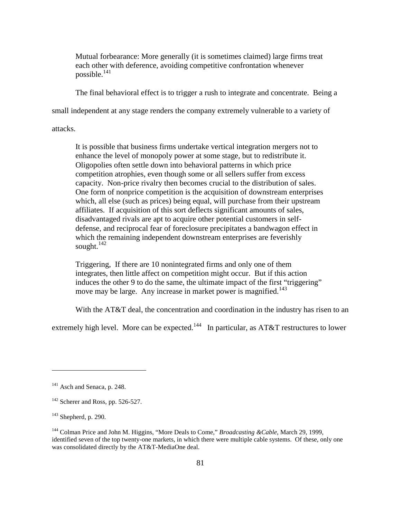Mutual forbearance: More generally (it is sometimes claimed) large firms treat each other with deference, avoiding competitive confrontation whenever possible.<sup>141</sup>

The final behavioral effect is to trigger a rush to integrate and concentrate. Being a

small independent at any stage renders the company extremely vulnerable to a variety of

attacks.

It is possible that business firms undertake vertical integration mergers not to enhance the level of monopoly power at some stage, but to redistribute it. Oligopolies often settle down into behavioral patterns in which price competition atrophies, even though some or all sellers suffer from excess capacity. Non-price rivalry then becomes crucial to the distribution of sales. One form of nonprice competition is the acquisition of downstream enterprises which, all else (such as prices) being equal, will purchase from their upstream affiliates. If acquisition of this sort deflects significant amounts of sales, disadvantaged rivals are apt to acquire other potential customers in selfdefense, and reciprocal fear of foreclosure precipitates a bandwagon effect in which the remaining independent downstream enterprises are feverishly sought. $142$ 

Triggering, If there are 10 nonintegrated firms and only one of them integrates, then little affect on competition might occur. But if this action induces the other 9 to do the same, the ultimate impact of the first "triggering" move may be large. Any increase in market power is magnified.<sup>143</sup>

With the AT&T deal, the concentration and coordination in the industry has risen to an

extremely high level. More can be expected.<sup>144</sup> In particular, as AT&T restructures to lower

<sup>&</sup>lt;sup>141</sup> Asch and Senaca, p. 248.

<sup>&</sup>lt;sup>142</sup> Scherer and Ross, pp. 526-527.

 $143$  Shepherd, p. 290.

<sup>144</sup> Colman Price and John M. Higgins, "More Deals to Come," *Broadcasting &Cable*, March 29, 1999, identified seven of the top twenty-one markets, in which there were multiple cable systems. Of these, only one was consolidated directly by the AT&T-MediaOne deal.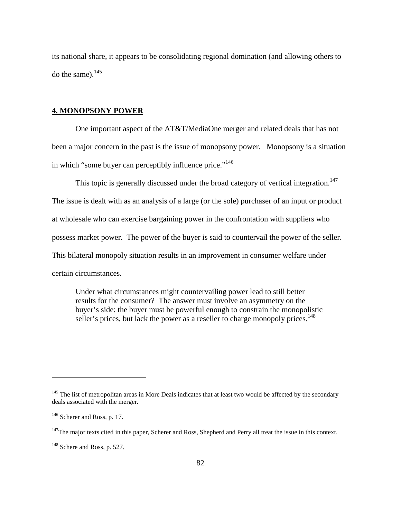its national share, it appears to be consolidating regional domination (and allowing others to do the same). $145$ 

## **4. MONOPSONY POWER**

One important aspect of the AT&T/MediaOne merger and related deals that has not been a major concern in the past is the issue of monopsony power. Monopsony is a situation in which "some buyer can perceptibly influence price."<sup>146</sup>

This topic is generally discussed under the broad category of vertical integration.<sup>147</sup>

The issue is dealt with as an analysis of a large (or the sole) purchaser of an input or product

at wholesale who can exercise bargaining power in the confrontation with suppliers who

possess market power. The power of the buyer is said to countervail the power of the seller.

This bilateral monopoly situation results in an improvement in consumer welfare under

certain circumstances.

Under what circumstances might countervailing power lead to still better results for the consumer? The answer must involve an asymmetry on the buyer's side: the buyer must be powerful enough to constrain the monopolistic seller's prices, but lack the power as a reseller to charge monopoly prices.<sup>148</sup>

<sup>&</sup>lt;sup>145</sup> The list of metropolitan areas in More Deals indicates that at least two would be affected by the secondary deals associated with the merger.

<sup>&</sup>lt;sup>146</sup> Scherer and Ross, p. 17.

 $147$ The major texts cited in this paper, Scherer and Ross, Shepherd and Perry all treat the issue in this context.

<sup>&</sup>lt;sup>148</sup> Schere and Ross, p. 527.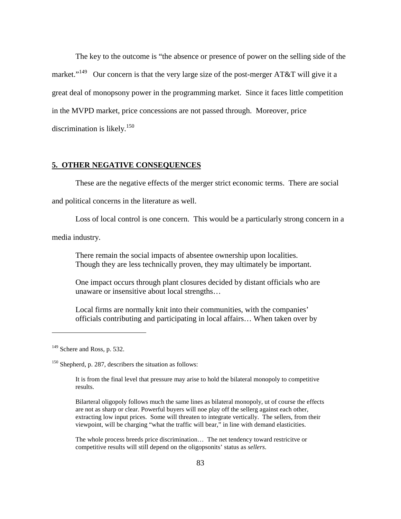The key to the outcome is "the absence or presence of power on the selling side of the market."<sup>149</sup> Our concern is that the very large size of the post-merger AT&T will give it a great deal of monopsony power in the programming market. Since it faces little competition in the MVPD market, price concessions are not passed through. Moreover, price discrimination is likely. $150$ 

## **5. OTHER NEGATIVE CONSEQUENCES**

These are the negative effects of the merger strict economic terms. There are social

and political concerns in the literature as well.

Loss of local control is one concern. This would be a particularly strong concern in a

media industry.

There remain the social impacts of absentee ownership upon localities. Though they are less technically proven, they may ultimately be important.

One impact occurs through plant closures decided by distant officials who are unaware or insensitive about local strengths…

Local firms are normally knit into their communities, with the companies' officials contributing and participating in local affairs… When taken over by

 $\overline{a}$ 

Bilarteral oligopoly follows much the same lines as bilateral monopoly, ut of course the effects are not as sharp or clear. Powerful buyers will noe play off the sellerg against each other, extracting low input prices. Some will threaten to integrate vertically. The sellers, from their viewpoint, will be charging "what the traffic will bear," in line with demand elasticities.

The whole process breeds price discrimination… The net tendency toward restricitve or competitive results will still depend on the oligopsonits' status as *sellers*.

 $149$  Schere and Ross, p. 532.

<sup>&</sup>lt;sup>150</sup> Shepherd, p. 287, describers the situation as follows:

It is from the final level that pressure may arise to hold the bilateral monopoly to competitive results.